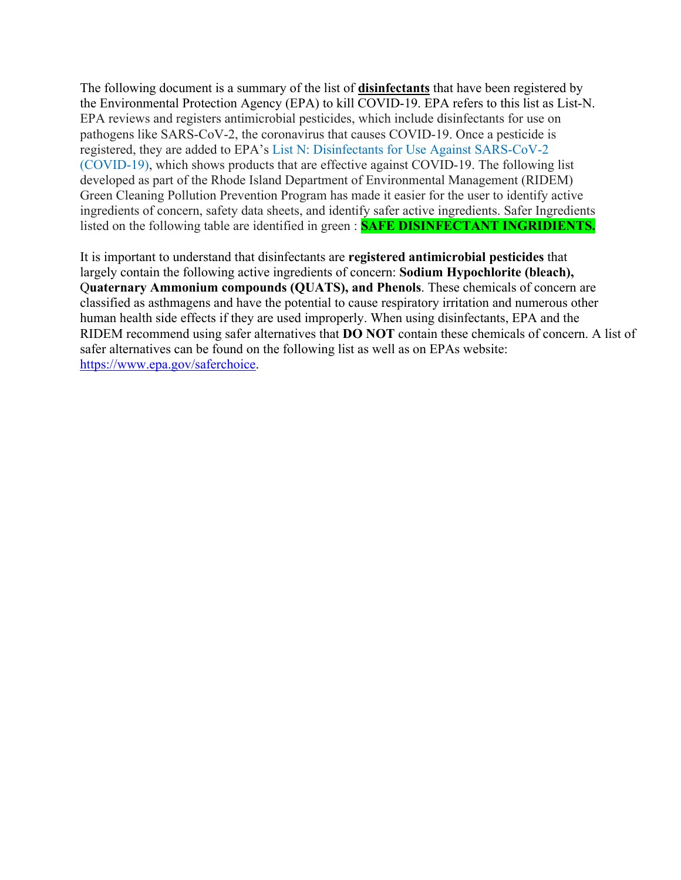The following document is a summary of the list of **disinfectants** that have been registered by the Environmental Protection Agency (EPA) to kill COVID-19. EPA refers to this list as List-N. EPA reviews and registers antimicrobial pesticides, which include disinfectants for use on pathogens like SARS-CoV-2, the coronavirus that causes COVID-19. Once a pesticide is registered, they are added to EPA's List [N: Disinfectants for Use Against SARS-CoV-2](https://www.epa.gov/pesticide-registration/list-n-disinfectants-use-against-sars-cov-2-covid-19)  [\(COVID-19\),](https://www.epa.gov/pesticide-registration/list-n-disinfectants-use-against-sars-cov-2-covid-19) which shows products that are effective against COVID-19. The following list developed as part of the Rhode Island Department of Environmental Management (RIDEM) Green Cleaning Pollution Prevention Program has made it easier for the user to identify active ingredients of concern, safety data sheets, and identify safer active ingredients. Safer Ingredients listed on the following table are identified in green : **SAFE DISINFECTANT INGRIDIENTS.** 

It is important to understand that disinfectants are **registered antimicrobial pesticides** that largely contain the following active ingredients of concern: **Sodium Hypochlorite (bleach),** Q**uaternary Ammonium compounds (QUATS), and Phenols**. These chemicals of concern are classified as asthmagens and have the potential to cause respiratory irritation and numerous other human health side effects if they are used improperly. When using disinfectants, EPA and the RIDEM recommend using safer alternatives that **DO NOT** contain these chemicals of concern. A list of safer alternatives can be found on the following list as well as on EPAs website: [https://www.epa.gov/saferchoice.](https://www.epa.gov/saferchoice)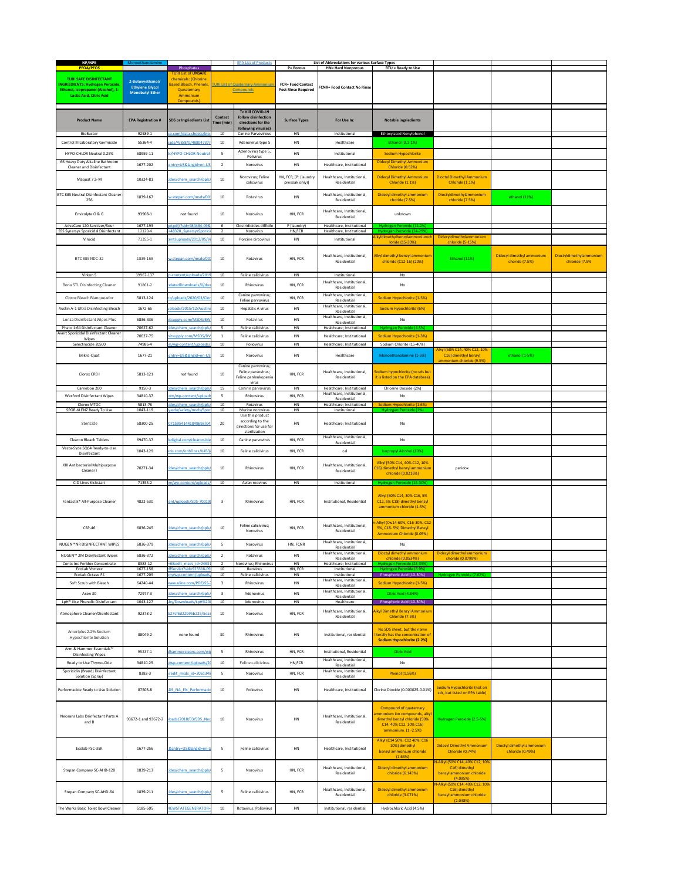| NP/NPE<br><b>PFOA/PFOS</b>                                               | Monoethanolamine                           | Phosphates                                            |                              | <b>EPA List of Products</b>                                   | <b>P= Porous</b>                        | List of Abbreviations for various Surface Types<br><b>HN= Hard Nonporous</b> | $RTU =$ Ready to Use                                                                    |                                                                             |                                             |                                           |
|--------------------------------------------------------------------------|--------------------------------------------|-------------------------------------------------------|------------------------------|---------------------------------------------------------------|-----------------------------------------|------------------------------------------------------------------------------|-----------------------------------------------------------------------------------------|-----------------------------------------------------------------------------|---------------------------------------------|-------------------------------------------|
|                                                                          |                                            | <b>TURI List of UNSAFE</b>                            |                              |                                                               |                                         |                                                                              |                                                                                         |                                                                             |                                             |                                           |
| <b>TURI SAFE DISINFECTANT</b><br><b>NGRIEDIENTS: Hydrogen Peroxide</b>   | 2-Butoxyethanol/<br><b>Ethylene Glycol</b> | chemicals: (Chlorine<br><b>Based Bleach, Phenols,</b> |                              | <b>TURI List of Quaternary Ammonium</b>                       | <b>FCR= Food Contact</b>                | <b>FCNR= Food Contact No Rinse</b>                                           |                                                                                         |                                                                             |                                             |                                           |
| Ethanol, Isopropanol (Alcohol), 1-<br><b>Lactic Acid, Citric Acid</b>    | <b>Monobutyl Ether</b>                     | Qunaternary<br>Ammonium                               |                              | <b>Compounds</b>                                              | <b>Post Rinse Required</b>              |                                                                              |                                                                                         |                                                                             |                                             |                                           |
|                                                                          |                                            | Compounds)                                            |                              |                                                               |                                         |                                                                              |                                                                                         |                                                                             |                                             |                                           |
| <b>Product Name</b>                                                      | <b>EPA Registration #</b>                  | <b>SDS or Ingriedients List</b>                       | <b>Contact</b><br>Time (min) | To Kill COVID-19<br>follow disinfection<br>directions for the | <b>Surface Types</b>                    | For Use In:                                                                  | <b>Notable ingriedients</b>                                                             |                                                                             |                                             |                                           |
| BioBuster                                                                | 92589-1                                    | so.com/data-sheets/bio-                               | 10 <sup>1</sup>              | following virus(es)<br><b>Canine Parvovirous</b>              | HN                                      | Institutional                                                                | <b>Ethoxylated Nonylphenol</b>                                                          |                                                                             |                                             |                                           |
| <b>Control III Laboratory Germicide</b>                                  | 55364-4                                    | oads/4/8/8/0/48804737/                                | 10 <sub>1</sub>              | Adenovirus type 5                                             | HN                                      | Healthcare                                                                   | Ethanol (0.1-1%)                                                                        |                                                                             |                                             |                                           |
| HYPO-CHLOR Neutral 0.25%                                                 | 68959-11                                   | ds/HYPO-CHLOR-Neutral-                                |                              | Adenovirus type 5,                                            | HN                                      | Institutional                                                                | Sodium Hypochlorite                                                                     |                                                                             |                                             |                                           |
| 66 Heavy Duty Alkaline Bathroom                                          | 1677-202                                   | cntry=US&langid=en-US                                 | $\overline{2}$               | Polivirus<br>Norovirus                                        | HN                                      | Healthcare, Institutional                                                    | <b>Didecyl Dimethyl Ammonium</b>                                                        |                                                                             |                                             |                                           |
| <b>Cleaner and Disinfectant</b>                                          |                                            |                                                       |                              |                                                               |                                         |                                                                              | <b>Chloride (0.52%)</b>                                                                 |                                                                             |                                             |                                           |
| Maquat 7.5-M                                                             | 10324-81                                   | ides/chem search/ppls/                                | 10 <sup>1</sup>              | Norovirus; Feline<br>calicivirus                              | HN, FCR, [P: (laundry<br>presoak only)] | Healthcare, Institutional,<br>Residential                                    | <b>Didecyl Dimethyl Ammonium</b><br>Chloride (1.1%)                                     | <b>Dioctyl Dimethyl Ammonium</b><br>Chloride (1.1%)                         |                                             |                                           |
| BTC 885 Neutral Disinfectant Cleaner                                     | 1839-167                                   | w.stepan.com/msds/00                                  | 10 <sub>1</sub>              | Rotavirus                                                     | HN                                      | Healthcare, Institutional,                                                   | Didecyl dimethyl ammonium                                                               | Dioctyldimethylammonium                                                     | ethanol (11%)                               |                                           |
| 256                                                                      |                                            |                                                       |                              |                                                               |                                         | Residential                                                                  | choride (7.5%)                                                                          | chloride (7.5%)                                                             |                                             |                                           |
| Envirolyte O & G                                                         | 93908-1                                    | not found                                             | 10 <sup>°</sup>              | Norovirus                                                     | HN, FCR                                 | Healthcare, Institutional,<br>Residential                                    | unknown                                                                                 |                                                                             |                                             |                                           |
| AdvaCare 120 Sanitizer/Sour<br>SSS Synersys Sporicidal Disinfectant      | 1677-193<br>12120-4                        | etpdf/?sid=984484-09&<br>=48328 SynersysSporici       |                              | Clostridioides difficile<br>Norovirus                         | P (laundry)<br>HN, FCR                  | Healthcare, Institutional<br>Healthcare, Institutional                       | Hydrogen Peroxide (11.2%)<br>Hydrogen Peroxide (24-29%)                                 |                                                                             |                                             |                                           |
| Virocid                                                                  | 71355-1                                    | tent/uploads/2012/05/\                                | 10                           | Porcine circovirus                                            | HN                                      | Institutional                                                                | Alkyldimethylbenzylammoniumch<br>loride (15-30%)                                        | Didecyldimethylammonium<br>chloride (5-15%)                                 |                                             |                                           |
|                                                                          |                                            |                                                       |                              |                                                               |                                         |                                                                              |                                                                                         |                                                                             |                                             |                                           |
| BTC 885 NDC-32                                                           | 1839-168                                   | w.stepan.com/msds/001                                 | 10 <sub>1</sub>              | Rotavirus                                                     | HN, FCR                                 | Healthcare, Institutional,<br>Residential                                    | Alkyl dimethyl benzyl ammonium<br>chloride (C12-16) (20%)                               | Ethanol (11%)                                                               | Didecyl dimethyl ammonium<br>choride (7.5%) | Dioctyldimethylammonium<br>chloride (7.5% |
|                                                                          |                                            |                                                       |                              |                                                               |                                         |                                                                              |                                                                                         |                                                                             |                                             |                                           |
| Virkon S                                                                 | 39967-137                                  | p-content/uploads/201                                 | 10 <sup>1</sup>              | Feline calicivirus                                            | HN                                      | Institutional<br>Healthcare, Institutional,                                  | No                                                                                      |                                                                             |                                             |                                           |
| <b>Bona STL Disinfecting Cleaner</b>                                     | 91861-2                                    | relatedDownloads/0/dov                                | 10 <sub>1</sub>              | Rhinovirus                                                    | HN, FCR                                 | Residential                                                                  | No                                                                                      |                                                                             |                                             |                                           |
| Clorox Bleach Blanqueador                                                | 5813-124                                   | nt/uploads/2020/03/Clor                               | 10 <sub>1</sub>              | Canine parvovirus;<br>Feline parvovirus                       | HN, FCR                                 | Healthcare, Institutional,<br>Residential                                    | Sodium Hypochlorite (1-5%)                                                              |                                                                             |                                             |                                           |
| Austin A-1 Ultra Disinfecting Bleach                                     | 1672-65                                    | uploads/2015/12/Austin                                | 10 <sub>1</sub>              | Hepatitis A virus                                             | <b>HN</b>                               | Healthcare, Institutional,<br>Residential                                    | Sodium Hypochlorite (6%)                                                                |                                                                             |                                             |                                           |
| Lonza Disinfectant Wipes Plus                                            | 6836-336                                   | itsupply.com/MSDS/BW                                  | 10 <sup>1</sup>              | Rotavirus                                                     | HN                                      | Healthcare, Institutional,<br>Residential                                    | No                                                                                      |                                                                             |                                             |                                           |
| Phato 1:64 Disinfectant Cleaner<br>Avert Sporicidal Disinfectant Cleaner | 70627-62                                   | cides/chem_search/ppls                                |                              | Feline calicivirus                                            | HN                                      | Healthcare; Institutional                                                    | Hydrogen Peroxide (4.5%)                                                                |                                                                             |                                             |                                           |
| Wipes<br>Selectrocide 2L500                                              | 70627-75<br>74986-4                        | nitsupply.com/MSDS/DV<br>m/wp-content/uploads         | 10 <sup>1</sup>              | Feline calicivirus<br>Poliovirus                              | HN<br>HN                                | Healthcare; Institutional<br>Healthcare; Institutional                       | Sodium Hypochlorite (1-3%)<br>Sodium Chlorite (15-40%)                                  |                                                                             |                                             |                                           |
|                                                                          |                                            |                                                       |                              |                                                               |                                         |                                                                              |                                                                                         | Alkyl (50% C14, 40% C12, 10%                                                |                                             |                                           |
| Mikro-Quat                                                               | 1677-21                                    | cntry=US&langid=en-US                                 | 10 <sub>1</sub>              | Norovirus                                                     | HN                                      | Healthcare                                                                   | Monoethanolamine (1-5%)                                                                 | C16) dimethyl benzyl<br>ammonium chloride (9.5%)                            | ethanol (1-5%)                              |                                           |
| Clorox CRB I                                                             | 5813-121                                   | not found                                             | 10                           | Canine parvovirus;<br>Feline parvovirus;                      | HN, FCR                                 | Healthcare, Institutional,                                                   | Sodium hypochlorite (no sds but                                                         |                                                                             |                                             |                                           |
|                                                                          |                                            |                                                       |                              | Feline panleukopenia<br>virus                                 |                                         | Residential                                                                  | it is listed on the EPA database)                                                       |                                                                             |                                             |                                           |
| Carnebon 200<br><b>Wexford Disinfectant Wipes</b>                        | 9150-3<br>34810-37                         | cides/chem search/ppls<br>com/wp-content/upload       | 15                           | Canine parvovirus<br>Rhinovirus                               | HN<br>HN, FCR                           | Healthcare; Institutional<br>Healthcare, Institutional,                      | Chlorine Dioxide (2%)<br>No                                                             |                                                                             |                                             |                                           |
| Clorox MTOC                                                              | 5813-76                                    | cides/chem_search/ppls                                | 10 <sub>1</sub>              | Rotavirus                                                     | HN                                      | Residential<br>Healthcare; Institutional                                     | Sodium Hypochlorite (1.6%)                                                              |                                                                             |                                             |                                           |
| SPOR-KLENZ Ready To Use                                                  | 1043-119                                   | ry.edu/safety/msds/Spor                               | 10                           | Murine norovirus<br>Use this product                          | HN                                      | Institutional                                                                | Hydrogen Peroxide (1%)                                                                  |                                                                             |                                             |                                           |
| Stericide                                                                | 58300-25                                   | 07159541441049693/04                                  | 20                           | according to the<br>directions for use for<br>sterilization   | HN                                      | Healthcare; Institutional                                                    | No                                                                                      |                                                                             |                                             |                                           |
| <b>Clearon Bleach Tablets</b>                                            | 69470-37                                   | dsdigital.com/clearon-ble                             | 10 <sub>1</sub>              | Canine parvovirus                                             | HN, FCR                                 | Healthcare, Institutional,<br>Residential                                    | No                                                                                      |                                                                             |                                             |                                           |
| Vesta-Syde SQ64 Ready-to-Use<br>Disinfectant                             | 1043-129                                   | eris.com/onbDocs/V453,                                | 10 <sup>1</sup>              | Feline calicivirus                                            | HN, FCR                                 | cal                                                                          | <b>Isopropyl Alcohol (10%)</b>                                                          |                                                                             |                                             |                                           |
|                                                                          |                                            |                                                       |                              |                                                               |                                         |                                                                              | Alkyl (50% C14, 40% C12, 10%                                                            |                                                                             |                                             |                                           |
| KIK Antibacterial Multipurpose<br>Cleaner I                              | 70271-34                                   | cides/chem_search/ppls/                               | 10 <sub>1</sub>              | Rhinovirus                                                    | HN, FCR                                 | Healthcare, Institutional,<br>Residential                                    | C16) dimethyl benzyl ammonium<br>chloride (0.0216%)                                     | peridox                                                                     |                                             |                                           |
| <b>CID Lines Kickstart</b>                                               | 71355-2                                    | om/wp-content/uploads                                 | 10 <sup>1</sup>              | Avian reovirus                                                | HN                                      | Institutional                                                                | Hydrogen Peroxide (15-30%)                                                              |                                                                             |                                             |                                           |
| Fantastik® All-Purpose Cleaner                                           | 4822-530                                   | tent/uploads/SDS-70019                                |                              | Rhinovirus                                                    | HN, FCR                                 | Institutional, Residential                                                   | Alkyl (60% C14, 30% C16, 5%<br>C12, 5% C18) dimethyl benzyl<br>ammonium chloride (1-5%) |                                                                             |                                             |                                           |
|                                                                          |                                            |                                                       |                              |                                                               |                                         |                                                                              |                                                                                         |                                                                             |                                             |                                           |
| <b>CSP-46</b>                                                            | 6836-245                                   | cides/chem search/ppls/                               | 10 <sup>1</sup>              | Feline calicivirus;<br>Norovirus                              | HN, FCR                                 | Healthcare, Institutional,<br>Residential                                    | n-Alkyl (Cw14-60%, C16-30%, C12<br>5%, C18-5%) Dimethyl Benzyl                          |                                                                             |                                             |                                           |
|                                                                          |                                            |                                                       |                              |                                                               |                                         | Healthcare, Institutional,                                                   | Ammonium Chloride (0.05%)                                                               |                                                                             |                                             |                                           |
| NUGEN™NR DISINFECTANT WIPES                                              | 6836-379                                   | cides/chem_search/ppls                                | -5                           | Norovirus                                                     | HN, FCNR                                | Residential                                                                  | No                                                                                      |                                                                             |                                             |                                           |
| NUGEN™ 2M Disinfectant Wipes                                             | 6836-372                                   | cides/chem_search/ppls/                               | 2                            | Rotavirus                                                     | HN                                      | Healthcare, Institutional,<br>Residential                                    | Dioctyl dimethyl ammonium<br>chloride (0.0534%)                                         | Didecyl dimethyl ammonium<br>choride (0.0799%)                              |                                             |                                           |
| Contc Inc Peridox Concentrate<br>EcoLab Vortexx                          | 8383-12<br>1677-158                        | =6&edit msds id=24631<br>dfServlet?sid=923318-09      | 10                           | Norovirus; Rhinovirus<br>Reovirus                             | HN<br>HN, FCR                           | Healthcare; Institutional<br>Institutional                                   | Hydrogen Peroxide (23-35%)<br>Hydrogen Peroxide (6.9%)                                  |                                                                             |                                             |                                           |
| EcoLab Octave FS<br>Soft Scrub with Bleach                               | 1677-209<br>64240-44                       | om/wp-content/uploads<br>vww.uline.com/PDF/SS-7       | 10                           | Feline calicivirus<br>Rhinovirus                              | HN<br>HN                                | Institutional<br>Healthcare, Institutional,                                  | Phosphoric Acid (10-30%)<br>Sodium Hypochlorite (1-5%)                                  | Hydrogen Peroxide (7.62%)                                                   |                                             |                                           |
| Axen 30                                                                  | 72977-3                                    | ides/chem search/ppls                                 | $\mathbf{R}$                 | Adenovirus                                                    | HN                                      | Residential<br>Healthcare, Institutional,                                    | Citric Acid (4.84%)                                                                     |                                                                             |                                             |                                           |
| LpH® IIIse Phenolic Disinfectant                                         | 1043-127                                   | sby/Downloads/LpH%20                                  | 10 <sup>1</sup>              | Adenovirus                                                    | HN                                      | Residential<br>Healthcare                                                    | Phosphoric Acid (10-30%)                                                                |                                                                             |                                             |                                           |
| Atmosphere Cleaner/Disinfectant                                          | 92378-2                                    | b27cf6d22b95b225/5ea3                                 | 10 <sub>1</sub>              | Norovirus                                                     | HN, FCR                                 | Healthcare, Institutional,<br>Residential                                    | Alkyl Dimethyl Benzyl Ammonium<br>Chloride (7.5%)                                       |                                                                             |                                             |                                           |
| Ameriplus 2.2% Sodium                                                    | 88049-2                                    | none found                                            | 30                           | Rhinovirus                                                    | HN                                      | Institutional, residential                                                   | No SDS sheet, but the name<br>iterally has the concentration of                         |                                                                             |                                             |                                           |
| <b>Hypochlorite Solution</b>                                             |                                            |                                                       |                              |                                                               |                                         |                                                                              | <b>Sodium Hypochlorite (2.2%)</b>                                                       |                                                                             |                                             |                                           |
| Arm & Hammer Essentials™<br><b>Disinfecting Wipes</b>                    | 95337-1                                    | dhammercleans.com/wi                                  |                              | Rhinovirus                                                    | HN, FCR                                 | Institutional, Residential                                                   | <b>Citric Acid</b>                                                                      |                                                                             |                                             |                                           |
| Ready to Use Thymo-Cide                                                  | 34810-25                                   | y/wp-content/uploads/20                               | 10 <sup>1</sup>              | Feline calicivirus                                            | HN, FCR                                 | Healthcare, Institutional,<br>Residential                                    | No                                                                                      |                                                                             |                                             |                                           |
| Sporicidin (Brand) Disinfectant<br>Solution (Spray)                      | 8383-3                                     | 1?edit msds id=2061348                                | -5                           | Norovirus                                                     | HN, FCR                                 | Healthcare, Institutional,<br>Residential                                    | <b>Phenol (1.56%)</b>                                                                   |                                                                             |                                             |                                           |
| Performacide Ready to Use Solution                                       | 87503-8                                    | <b>SDS NA EN Performacio</b>                          | 10 <sup>1</sup>              | Poliovirus                                                    | HN                                      | Healthcare, Institutional                                                    | Clorine Dioxide (0.000025-0.01%)                                                        | Sodium Hypochlorite (not on<br>sds, but listed on EPA table)                |                                             |                                           |
|                                                                          |                                            |                                                       |                              |                                                               |                                         |                                                                              | <b>Compound of quaternary</b><br>ammonium ion compounds, alkyl                          |                                                                             |                                             |                                           |
| Neosans Labs Dsinfectant Parts A<br>and B                                |                                            | 93672-1 and 93672-2 bloads/2018/03/SDS Ned            | 10 <sub>1</sub>              | Norovirus                                                     | HN                                      | Healthcare, Institutional,<br>Residential                                    | dimethyl benzyl chloride (50%<br>C14, 40% C12, 10% C16)<br>ammonium. (1.-2.5%)          | Hydrogen Peroxide (2.5-5%)                                                  |                                             |                                           |
| Ecolab FSC-35K                                                           | 1677-256                                   | L&cntry=US&langid=en-l                                | 5                            | Feline calicivirus                                            | HN                                      | Healthcare, Institutional                                                    | Alkyl (C14 50%; C12 40%; C16<br>10%) dimethyl                                           | <b>Didecyl Dimethyl Ammonium</b>                                            | Dioctyl dimethyl ammonium                   |                                           |
|                                                                          |                                            |                                                       |                              |                                                               |                                         |                                                                              | benzyl ammonium chloride<br>(1.63%)                                                     | <b>Chloride (0.74%)</b><br>N-Alkyl (50% C14, 40% C12, 10%                   | chloride (0.49%)                            |                                           |
| Stepan Company SC-AHD-128                                                | 1839-213                                   | cides/chem_search/ppls/                               | -5                           | Norovirus                                                     | HN, FCR                                 | Healthcare, Institutional,<br>Residential                                    | Didecyl dimethyl ammonium<br>chloride (6.143%)                                          | C16) dimethyl<br>benzyl ammonium chloride<br>(4.095%)                       |                                             |                                           |
| Stepan Company SC-AHD-64                                                 | 1839-211                                   | cides/chem_search/ppls/                               | -5                           | Feline calicivirus                                            | HN, FCR                                 | Healthcare, Institutional,<br>Residential                                    | Didecyl dimethyl ammonium<br>chloride (3.071%)                                          | N-Alkyl (50% C14, 40% C12, 10%<br>C16) dimethyl<br>benzyl ammonium chloride |                                             |                                           |
| The Works Basic Toilet Bowl Cleaner                                      | 5185-505                                   | /IEWSTATEGENERATOR:                                   | 10                           | Rotavirus; Poliovirus                                         | HN                                      | Institutional, residential                                                   | Hydrochloric Acid (4.5%)                                                                | (2.048%)                                                                    |                                             |                                           |
|                                                                          |                                            |                                                       |                              |                                                               |                                         |                                                                              |                                                                                         |                                                                             |                                             |                                           |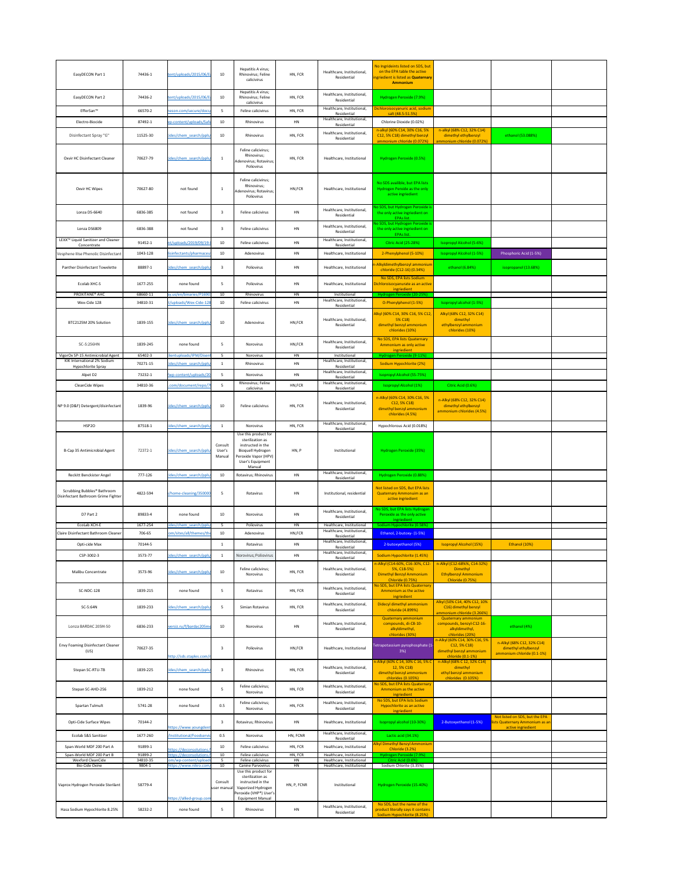| EasyDECON Part 1                                                               | 74436-1             | tent/uploads/2015/06/Ea                           | 10 <sub>1</sub>             | Hepatitis A virus;<br>Rhinovirus; Feline<br>calicivirus                                                                                                       | HN, FCR                  | Healthcare, Institutional,<br>Residential                | No Ingrideints listed on SDS, but<br>on the EPA table the active<br>ingriedient is listed as Quaternary<br><b>Ammonium</b> |                                                                                                         |                                                                                        |  |
|--------------------------------------------------------------------------------|---------------------|---------------------------------------------------|-----------------------------|---------------------------------------------------------------------------------------------------------------------------------------------------------------|--------------------------|----------------------------------------------------------|----------------------------------------------------------------------------------------------------------------------------|---------------------------------------------------------------------------------------------------------|----------------------------------------------------------------------------------------|--|
| EasyDECON Part 2                                                               | 74436-2             | tent/uploads/2015/06/E                            | 10 <sub>1</sub>             | Hepatitis A virus;<br>Rhinovirus; Feline                                                                                                                      | HN, FCR                  | Healthcare, Institutional,<br>Residential                | Hydrogen Peroxide (7.9%)                                                                                                   |                                                                                                         |                                                                                        |  |
| EfferSan™                                                                      | 66570-2             | neson.com/secure/docs                             | 5                           | calicivirus<br>Feline calicivirus                                                                                                                             | HN, FCR                  | Healthcare, Institutional,                               | Dichloroisocyanuric acid, sodium                                                                                           |                                                                                                         |                                                                                        |  |
| Electro-Biocide                                                                | 87492-1             | vp-content/uploads/Safe                           | 10                          | Rhinovirus                                                                                                                                                    | <b>HN</b>                | Residential<br>Healthcare, Institutional,<br>Residential | salt (48.5-51.5%)<br>Chlorine Dioxide (0.02%)                                                                              |                                                                                                         |                                                                                        |  |
| Disinfectant Spray "G"                                                         | 11525-30            | cides/chem search/ppls,                           | 10 <sub>1</sub>             | Rhinovirus                                                                                                                                                    | HN, FCR                  | Healthcare, Institutional,<br>Residential                | n-alkyl (60% C14, 30% C16, 5%<br>C12, 5% C18) dimethyl benzyl                                                              | n-alkyl (68% C12, 32% C14)<br>dimethyl ethylbenzyl                                                      | ethanol (53.088%)                                                                      |  |
| Oxvir HC Disinfectant Cleaner                                                  | 70627-79            | cides/chem_search/ppls/                           |                             | Feline calicivirus;<br>Rhinovirus;<br>Adenovirus; Rotavirus;<br>Poliovirus                                                                                    | HN, FCR                  | Healthcare, Institutional                                | ammonium chloride (0.072%)<br>Hydrogen Peroxide (0.5%)                                                                     | ammonium chloride (0.072%)                                                                              |                                                                                        |  |
| Oxvir HC Wipes                                                                 | 70627-80            | not found                                         |                             | Feline calicivirus;<br>Rhinovirus;<br>Adenovirus; Rotavirus;<br>Poliovirus                                                                                    | HN,FCR                   | Healthcare, Institutional                                | No SDS availible, but EPA lists<br>Hydrogen Perxide as the only<br>active ingriedient                                      |                                                                                                         |                                                                                        |  |
| Lonza DS-6640                                                                  | 6836-385            | not found                                         |                             | Feline calicivirus                                                                                                                                            | HN                       | Healthcare, Institutional,<br>Residential                | No SDS, but Hydrogen Peroxide is<br>the only active ingriedient on<br>EPAs list.                                           |                                                                                                         |                                                                                        |  |
| Lonza DS6809                                                                   | 6836-388            | not found                                         |                             | Feline calicivirus                                                                                                                                            | <b>HN</b>                | Healthcare, Institutional,<br>Residential                | No SDS, but Hydrogen Peroxide is<br>the only active ingriedient on<br>EPAs list.                                           |                                                                                                         |                                                                                        |  |
| LEXX <sup>™</sup> Liquid Sanitizer and Cleaner<br>Concentrate                  | 91452-1             | nt/uploads/2019/09/19-                            | 10                          | Feline calicivirus                                                                                                                                            | <b>HN</b>                | Healthcare, Institutional,<br>Residential                | <b>Citric Acid (25-28%)</b>                                                                                                | Isopropyl Alcohol (5-6%)                                                                                |                                                                                        |  |
| Vesphene IIIse Phenolic Disinfectant                                           | 1043-128            | disinfectants/pharmaceu                           | 10                          | Adenovirus                                                                                                                                                    | HN                       | Healthcare, Institutional                                | 2-Phenylphenol (5-10%)                                                                                                     | <b>Isopropyl Alcohol (1-5%)</b>                                                                         | Phosphoric Acid (1-5%)                                                                 |  |
| Panther Disinfectant Towelette                                                 | 88897-1             | cides/chem_search/ppls                            |                             | Poliovirus                                                                                                                                                    | HN                       | Healthcare, Institutional                                | -Alkyldimethylbenzyl ammonium<br>chloride (C12-16) (0.34%)                                                                 | ethanol (6.84%)                                                                                         | isopropanol (13.68%)                                                                   |  |
| <b>Ecolab XHC-S</b>                                                            | 1677-255            | none found                                        |                             | Poliovirus                                                                                                                                                    | HN                       | Healthcare, Institutional                                | No SDS, EPA lists Sodium<br>Dichloroisocyanurate as an active                                                              |                                                                                                         |                                                                                        |  |
| PROXITANE <sup>®</sup> AHC                                                     | 68660-11            | ay.us/en/binaries/P1690                           | 10 <sup>°</sup>             | Rhinovirus                                                                                                                                                    | <b>HN</b>                | Institutional                                            | ingriedient<br>Hydrogen Peroxide (20-25%)                                                                                  |                                                                                                         |                                                                                        |  |
| Wex-Cide 128                                                                   | 34810-31            | t/uploads/Wex-Cide-128                            | 10                          | Feline calicivirus                                                                                                                                            | HN                       | Healthcare, Institutional,<br>Residential                | O-Phenylphenol (1-5%)                                                                                                      | Isopropyl alcohol (1-5%)                                                                                |                                                                                        |  |
| BTC2125M 20% Solution                                                          | 1839-155            | cides/chem search/ppls,                           | 10                          | Adenovirus                                                                                                                                                    | HN, FCR                  | Healthcare, Institutional,<br>Residential                | Alkyl (60% C14, 30% C16, 5% C12<br>$5\%$ C18)<br>dimethyl benzyl ammonium<br>chlorides (10%)                               | Alkyl (68% C12, 32% C14)<br>dimethyl<br>ethylbenzyl ammonium<br>chlorides (10%)                         |                                                                                        |  |
| SC-5:256HN                                                                     | 1839-245            | none found                                        |                             | Norovirus                                                                                                                                                     | HN,FCR                   | Healthcare, Institutional,<br>Residential                | No SDS, EPA lists Quaternary<br>Ammonium as only active<br>ingriedient                                                     |                                                                                                         |                                                                                        |  |
| VigorOx SP-15 Antimicrobial Agent<br>KIK International 2% Sodium               | 65402-3<br>70271-15 | lientuploads/IPM/Disen<br>cides/chem search/ppls/ | 5                           | Norovirus<br>Rhinovirus                                                                                                                                       | <b>HN</b><br>HN          | Institutional<br>Healthcare, Institutional,              | Hydrogen Peroxide (9-11%)<br>Sodium Hypochlorite (2%)                                                                      |                                                                                                         |                                                                                        |  |
| Hypochlorite Spray<br>Alpet D2                                                 | 73232-1             | /wp-content/uploads/20                            | 5.                          | Norovirus                                                                                                                                                     | <b>HN</b>                | Residential<br>Healthcare, Institutional,                | <b>Isopropyl Alcohol (55-75%)</b>                                                                                          |                                                                                                         |                                                                                        |  |
| CleanCide Wipes                                                                | 34810-36            | .com/document/repo/7                              |                             | Rhinovirus; Feline<br>calicivirus                                                                                                                             | HN,FCR                   | Residential<br>Healthcare, Institutional,<br>Residential | <b>Isopropyl Alcohol (1%)</b>                                                                                              | Citric Acid (0.6%)                                                                                      |                                                                                        |  |
| NP 9.0 (D&F) Detergent/disinfectant                                            | 1839-96             | cides/chem_search/ppls/                           | 10                          | Feline calicivirus                                                                                                                                            | HN, FCR                  | Healthcare, Institutional,<br>Residential                | n-Alkyl (60% C14, 30% C16, 5%<br>$C12, 5\% C18$<br>dimethyl benzyl ammonium<br>chlorides (4.5%)                            | n-Alkyl (68% C12, 32% C14)<br>dimethyl ethylbenzyl<br>ammonium chlorides (4.5%)                         |                                                                                        |  |
| HSP2O                                                                          | 87518-1             | cides/chem_search/ppls                            |                             | Norovirus                                                                                                                                                     | HN, FCR                  | Healthcare, Institutional,<br>Residential                | Hypochlorous Acid (0.018%)                                                                                                 |                                                                                                         |                                                                                        |  |
| B-Cap 35 Antimicrobial Agent                                                   | 72372-1             | cides/chem search/ppls                            | Consult<br>User's<br>Manual | Use this product for<br>sterilization as<br>instructed in the<br>Bioquell Hydrogen<br>Peroxide Vapor (HPV)<br>User's Equipment<br>Manual                      | HN, P                    | Institutional                                            | Hydrogen Peroxide (35%)                                                                                                    |                                                                                                         |                                                                                        |  |
| Reckitt Benckister Angel                                                       | 777-126             | cides/chem search/ppls                            | 10                          | Rotavirus; Rhinovirus                                                                                                                                         | <b>HN</b>                | Healthcare, Institutional,<br>Residential                | Hydrogen Peroxide (0.88%)                                                                                                  |                                                                                                         |                                                                                        |  |
| Scrubbing Bubbles <sup>®</sup> Bathroom<br>Disinfectant Bathroom Grime Fighter | 4822-594            | n/home-cleaning/350000                            | 5                           | Rotavirus                                                                                                                                                     | HN                       | Institutional, residential                               | Not listed on SDS, But EPA lists<br>Quaternary Ammonuim as an<br>active ingriedient                                        |                                                                                                         |                                                                                        |  |
| D7 Part 2                                                                      | 89833-4             | none found                                        | 10 <sup>°</sup>             | Norovirus                                                                                                                                                     | HN                       | Healthcare, Institutional,<br>Residential                | No SDS, but EPA lists Hydrogen<br>Peroxide as the only active                                                              |                                                                                                         |                                                                                        |  |
| EcoLab XCH-E                                                                   | 1677-254            | cides/chem_search/ppls                            | 5                           | Poliovirus                                                                                                                                                    | HN                       | Healthcare, Institutional<br>Healthcare, Institutional,  | ingriedient<br>Sodium Hypochlorite (0.58%)                                                                                 |                                                                                                         |                                                                                        |  |
| Claire Disinfectant Bathroom Cleaner                                           | 706-65              | com/sites/all/themes/the                          | 10 <sub>1</sub>             | Adenovirus                                                                                                                                                    | HN,FCR                   | Residential<br>Healthcare, Institutional,                | Ethanol, 2-butoxy- (1-5%)                                                                                                  |                                                                                                         |                                                                                        |  |
| Opti-cide Max                                                                  | 70144-5             |                                                   |                             | Rotavirus                                                                                                                                                     | HN                       | Residential<br>Healthcare, Institutional,                | 2-butoxyethanol (5%)                                                                                                       | <b>Isopropyl Alcohol (15%)</b>                                                                          | Ethanol (10%)                                                                          |  |
| CSP-3002-3                                                                     | 3573-77             | cides/chem search/ppls/                           |                             | Norovirus; Poliovirus                                                                                                                                         | <b>HN</b>                | Residential                                              | Sodium Hypochlorite (1.45%)<br>n-Alkyl (C14-60%, C16-30%, C12-                                                             | n-Alkyl (C12-68%%, C14-32%)                                                                             |                                                                                        |  |
| Malibu Concentrate                                                             | 3573-96             | cides/chem_search/ppls/                           | 10 <sub>1</sub>             | Feline calicivirus;<br>Norovirus                                                                                                                              | HN, FCR                  | Healthcare, Institutional,<br>Residential                | 5%, C18-5%)<br><b>Dimethyl Benzyl Ammonium</b><br><b>Chloride (0.75%)</b>                                                  | Dimethyl<br><b>Ethylbenzyl Ammonium</b><br><b>Chloride (0.75%)</b>                                      |                                                                                        |  |
| <b>SC-NDC-128</b>                                                              | 1839-215            | none found                                        | 5                           | Rotavirus                                                                                                                                                     | HN, FCR                  | Healthcare, Institutional,<br>Residential                | No SDS, but EPA lists Quaternary<br>Ammonium as the active<br>ingriedient                                                  |                                                                                                         |                                                                                        |  |
| SC-5:64N                                                                       | 1839-233            | cides/chem_search/ppls/                           |                             | Simian Rotavirus                                                                                                                                              | HN, FCR                  | Healthcare, Institutional,<br>Residential                | Didecyl dimethyl ammonium<br>chloride (4.899%)                                                                             | Alkyl (50% C14, 40% C12, 10%<br>C16) dimethyl benzyl                                                    |                                                                                        |  |
| Lonza BARDAC 205M-50                                                           | 6836-233            | versiz.ru/f/bardac205m                            | 10                          | Norovirus                                                                                                                                                     | HN                       | Healthcare, Institutional,<br>Residential                | <b>Quaternary ammonium</b><br>compounds, di-C8-10-<br>alkyldimethyl,                                                       | ammonium chloride (3.266%)<br><b>Quaternary ammonium</b><br>compounds, benzyl-C12-16-<br>alkyldimethyl, | ethanol (4%)                                                                           |  |
| <b>Envy Foaming Disinfectant Cleaner</b>                                       | 70627-35            |                                                   |                             | Poliovirus                                                                                                                                                    | HN,FCR                   | Healthcare, Institutional                                | chlorides (30%)<br>Tetrapotassium pyrophosphate (1                                                                         | chlorides (20%)<br>n-Alkyl (60% C14, 30% C16, 5%<br>$C12, 5\% C18$                                      | n-Alkyl (68% C12, 32% C14)<br>dimethyl ethylbenzyl                                     |  |
| (US)                                                                           |                     | http://sds.staples.com/r                          |                             |                                                                                                                                                               |                          |                                                          | $3\%)$<br>n-Alkyl (60% C 14, 30% C 16, 5% 0                                                                                | dimethyl benzyl ammonium<br>chloride (0.1-1%)<br>n-Alkyl (68% C 12, 32% C14)                            | ammonium chloride (0.1-1%)                                                             |  |
| Stepan SC-RTU-TB                                                               | 1839-225            | cides/chem search/ppls/                           |                             | Rhinovirus                                                                                                                                                    | HN, FCR                  | Healthcare, Institutional,<br>Residential                | 12, 5% C18)<br>dimethyl benzyl ammonium<br>chlorides (0.105%)                                                              | dimethyl<br>ethyl benzyl ammonium<br>chlorides (0.105%)                                                 |                                                                                        |  |
| Stepan SC-AHD-256                                                              | 1839-212            | none found                                        | 5.                          | Feline calicivirus;<br>Norovirus                                                                                                                              | HN, FCR                  | Healthcare, Institutional,<br>Residential                | No SDS, but EPA lists Quaternary<br>Ammonium as the active<br>ingriedient                                                  |                                                                                                         |                                                                                        |  |
| Spartan Tulmult                                                                | 5741-28             | none found                                        | 0.5                         | Feline calicivirus;<br>Norovirus                                                                                                                              | HN, FCR                  | Healthcare, Institutional,<br>Residential                | No SDS, but EPA lists Sodium<br>Hypochlorite as an active<br>ingriedient                                                   |                                                                                                         |                                                                                        |  |
| <b>Opti-Cide Surface Wipes</b>                                                 | 70144-2             | https://www.youngdent                             |                             | Rotavirus; Rhinovirus                                                                                                                                         | HN                       | Healthcare, Institutional                                | Isopropyl alcohol (10-30%)                                                                                                 | 2-Butoxyethanol (1-5%)                                                                                  | Not listed on SDS, but the EPA<br>ists Quaternary Ammonium as an<br>active ingriedient |  |
| Ecolab S&S Sanitizer                                                           | 1677-260            | /Institutional/Foodservic                         | 0.5                         | Norovirus                                                                                                                                                     | HN, FCNR                 | Healthcare, Institutional,<br>Residential                | Lactic acid (34.1%)                                                                                                        |                                                                                                         |                                                                                        |  |
| Span-World MDF 200 Part A                                                      | 91899-1             | https://deconsolutions.                           | 10 <sub>1</sub>             | Feline calicivirus                                                                                                                                            | HN, FCR                  | Healthcare, Institutional                                | <b>Alkyl Dimethyl Benzyl Ammonium</b><br>Chloride (3.2%)                                                                   |                                                                                                         |                                                                                        |  |
| Span-World MDF 200 Part B<br><b>Wexford CleanCide</b>                          | 91899-2<br>34810-35 | https://deconsolutions.<br>com/wp-content/uploads | 10 <sup>°</sup><br>5        | Feline calicivirus<br>Feline calicivirus                                                                                                                      | HN, FCR<br><b>HN</b>     | Healthcare, Institutional<br>Healthcare, Institutional   | Hydrogen Peroxide (7.9%)<br>Citric Acid (0.6%)                                                                             |                                                                                                         |                                                                                        |  |
| Bio-Cide Oxine<br>Vaprox Hydrogen Peroxide Sterilant                           | 9804-1<br>58779-4   | https://www.nikro.com<br>https://allied-group.com | 10<br>Consult<br>user manua | Canine Parvovirus<br>Use this product for<br>sterilization as<br>instructed in the<br>Vaporized Hydrogen<br>Peroxide (VHP®) User's<br><b>Equipment Manual</b> | <b>HN</b><br>HN, P, FCNR | Healthcare, Institutional<br>Institutional               | Sodium Chlorite (3.35%)<br>Hydrogen Peroxide (15-40%)                                                                      |                                                                                                         |                                                                                        |  |
| Hasa Sodium Hypochlorite 8.25%                                                 | 58232-2             | none found                                        | 5 <sub>1</sub>              | Rhinovirus                                                                                                                                                    | HN                       | Healthcare, Institutional,<br>Residential                | No SDS, but the name of the<br>product literally says it contains<br>Sodium Hypochlorite (8.25%)                           |                                                                                                         |                                                                                        |  |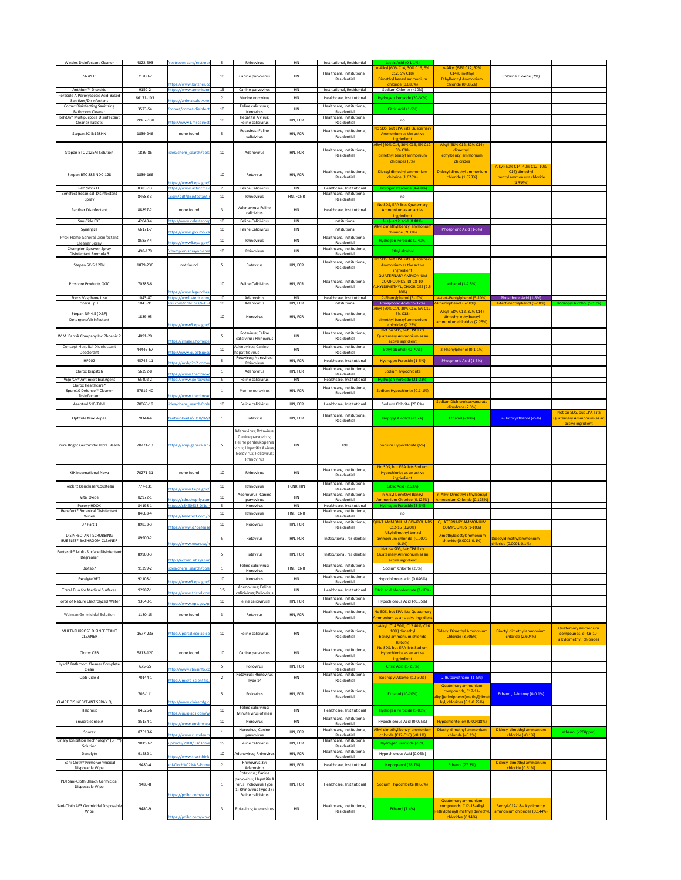| <b>Windex Disinfectant Cleaner</b>                                     | 4822-593           | restroom-care/restroo                             | 5               | Rhinovirus                                                                                        | HN                   | Institutional, Residential                              | Lactic Acid (0.1-1%)                                       |                                                               |                                                       |                                                               |
|------------------------------------------------------------------------|--------------------|---------------------------------------------------|-----------------|---------------------------------------------------------------------------------------------------|----------------------|---------------------------------------------------------|------------------------------------------------------------|---------------------------------------------------------------|-------------------------------------------------------|---------------------------------------------------------------|
| SNiPER                                                                 | 71700-2            |                                                   | 10              | Canine parvovirus                                                                                 | HN                   | Healthcare, Institutional,                              | n-Alkyl (60% C14, 30% C16, 5%<br>$C12, 5\% C18$            | n-Alkyl (68% C12, 32%<br>C14) Dimethyl                        | Chlorine Dioxide (2%)                                 |                                                               |
|                                                                        |                    | https://www.batzner.cc                            |                 |                                                                                                   |                      | Residential                                             | Dimethyl benzyl ammonium<br>chloride (0.085%)              | <b>Ethylbenzyl Ammonium</b><br>chloride (0.085%)              |                                                       |                                                               |
| Anthium <sup>™</sup> Dioxcide                                          | 9150-2             | https://www.american                              | 15              | Canine parvovirus                                                                                 | HN                   | Institutional, Residential                              | Sodium Chlorite (<10%)                                     |                                                               |                                                       |                                                               |
| Peraside A Peroxyacetic Acid-Based<br>Sanitizer/Disinfectant           | 66171-103          | https://animalsafety.ner                          | -2              | Murine norovirus                                                                                  | HN                   | Healthcare, Institutional                               | Hydrogen Peroxide (20-30%)                                 |                                                               |                                                       |                                                               |
| <b>Comet Disinfecting Sanitizing</b><br><b>Bathroom Cleaner</b>        | 3573-54            | /comet/comet-disinfect                            | 10 <sup>°</sup> | Feline calicivirus;<br>Norovirus                                                                  | HN                   | Healthcare, Institutional,<br>Residential               | Citric Acid (1-5%)                                         |                                                               |                                                       |                                                               |
| RelyOn® Multipurpose Disinfectant<br><b>Cleaner Tablets</b>            | 39967-138          | http://www1.mscdirect                             | 10              | Hepatitis A virus;<br>Feline calicivirus                                                          | HN, FCR              | Healthcare, Institutional,<br>Residential               | no                                                         |                                                               |                                                       |                                                               |
|                                                                        |                    |                                                   |                 | Rotavirus; Feline                                                                                 |                      | Healthcare, Institutional,                              | No SDS, but EPA lists Quaternary                           |                                                               |                                                       |                                                               |
| Stepan SC-5:128HN                                                      | 1839-246           | none found                                        | 5               | calicivirus                                                                                       | HN, FCR              | Residential                                             | Ammonium as the active<br>ingriedient                      |                                                               |                                                       |                                                               |
|                                                                        |                    |                                                   |                 |                                                                                                   |                      |                                                         | Alkyl (60% C14, 30% C16, 5% C12                            | Alkyl (68% C12, 32% C14)                                      |                                                       |                                                               |
| Stepan BTC 2125M Solution                                              | 1839-86            | cides/chem_search/ppls                            | 10              | Adenovirus                                                                                        | HN, FCR              | Healthcare, Institutional,<br>Residential               | 5% C18)<br>dimethyl benzyl ammonium                        | dimethyl'<br>ethylbenzyl ammonium                             |                                                       |                                                               |
|                                                                        |                    |                                                   |                 |                                                                                                   |                      |                                                         | chlorides (5%)                                             | chlorides                                                     | Alkyl (50% C14, 40% C12, 10%                          |                                                               |
| Stepan BTC 885 NDC-128                                                 | 1839-166           |                                                   | 10              | Rotavirus                                                                                         | HN, FCR              | Healthcare, Institutional,                              | Dioctyl dimethyl ammonium                                  | Didecyl dimethyl ammonium                                     | C16) dimethyl                                         |                                                               |
|                                                                        |                    | https://www3.epa.gov/r                            |                 |                                                                                                   |                      | Residential                                             | chloride (1.628%)                                          | chloride (1.628%)                                             | benzyl ammonium chloride<br>(4.339%)                  |                                                               |
| PeridoxRTU<br><b>Benefect Botanical Disinfectant</b>                   | 8383-13            | https://www.actiocms.                             | $\overline{2}$  | <b>Feline Calicivirus</b>                                                                         | <b>HN</b>            | Healthcare, Institutional<br>Healthcare, Institutional, | Hydrogen Peroxide (4-4.8%)                                 |                                                               |                                                       |                                                               |
| Spray                                                                  | 84683-3            | .com/pdf/disinfectant-                            | 10              | Rhinovirus                                                                                        | HN, FCNR             | Residential                                             | no                                                         |                                                               |                                                       |                                                               |
| <b>Panther Disinfectant</b>                                            | 88897-2            | none found                                        | 3               | Adenovirus; Feline<br>calicivirus                                                                 | HN                   | Healthcare, Institutional                               | No SDS, EPA lists Quaternary<br>Ammonium as an active      |                                                               |                                                       |                                                               |
| San-Cide EX3                                                           | 42048-4            | http://www.celestecorp                            | 10 <sup>°</sup> | <b>Feline Calicivirus</b>                                                                         | HN                   | Institutional                                           | ingriedient<br>$I-(+)$ -lactic acid $(0.40%)$              |                                                               |                                                       |                                                               |
| Synergize                                                              | 66171-7            |                                                   | 10              | <b>Feline Calicivirus</b>                                                                         | HN                   | Institutional                                           | Alkyl dimethyl benzyl ammonium                             | Phosphoric Acid (1-5%)                                        |                                                       |                                                               |
| Proxi Home General Disinfectant                                        | 85837-4            | https://www.gov.mb.ca/                            | 10              | Rhinovirus                                                                                        | <b>HN</b>            | Healthcare, Institutional,                              | chloride (26.0%)<br>Hydrogen Peroxide (2.40%)              |                                                               |                                                       |                                                               |
| <b>Cleaner Spray</b><br>Champion Sprayon Spray                         |                    | https://www3.epa.gov/                             |                 |                                                                                                   |                      | Residential<br>Healthcare, Institutional,               |                                                            |                                                               |                                                       |                                                               |
| Disinfectant Formula 3                                                 | 498-179            | /champion-sprayon-spr                             | 10              | Rhinovirus                                                                                        | HN                   | Residential                                             | Ethyl alcohol                                              |                                                               |                                                       |                                                               |
| Stepan SC-5:128N                                                       | 1839-236           | not found                                         |                 | Rotavirus                                                                                         | HN, FCR              | Healthcare, Institutional,<br>Residential               | No SDS, but EPA lists Quaternary<br>Ammonium as the active |                                                               |                                                       |                                                               |
|                                                                        |                    |                                                   |                 |                                                                                                   |                      |                                                         | ingriedient<br><b>QUATERNARY AMMONIUM</b>                  |                                                               |                                                       |                                                               |
| Prostore Products QGC                                                  | 70385-6            |                                                   | 10              | <b>Feline Calicivirus</b>                                                                         | HN, FCR              | Healthcare, Institutional,                              | <b>COMPOUNDS, DI-C8-10-</b>                                | ethanol (1-2.5%)                                              |                                                       |                                                               |
|                                                                        |                    | https://www.legendbra                             |                 |                                                                                                   |                      | Residential                                             | ALKYLDIMETHYL, CHLORIDES (2.5-<br>10%)                     |                                                               |                                                       |                                                               |
| Steris Vesphene II se<br>Steris LpH                                    | 1043-87<br>1043-91 | https://ww1.steris.com<br>eris.com/onbDocs/V439   | 10<br>10        | Adenovirus<br>Adenovirus                                                                          | <b>HN</b><br>HN, FCR | Healthcare, Institutional<br>Institutional              | 2-Phenylphenol (5-10%)<br>Phosphoric Acid (15-17%)         | 4-tert-Pentylphenol (5-10%)<br>2-Phenylphenol (5-10%)         | Phosphoric Acid (1-5%)<br>4-tert-Pentylphenol (5-10%) | <b>Isopropyl Alcohol (5-10%)</b>                              |
|                                                                        |                    |                                                   |                 |                                                                                                   |                      |                                                         | Alkyl (60% C14, 30% C16, 5% C12,                           | Alkyl (68% C12, 32% C14)                                      |                                                       |                                                               |
| Stepan NP 4.5 (D&F)<br>Detergent/disinfectant                          | 1839-95            |                                                   | 10              | Norovirus                                                                                         | HN, FCR              | Healthcare, Institutional,<br>Residential               | 5% C18)<br>dimethyl benzyl ammonium                        | dimethyl ethylbenzyl                                          |                                                       |                                                               |
|                                                                        |                    | https://www3.epa.gov/                             |                 |                                                                                                   |                      |                                                         | chlorides (2.25%)<br>Not on SDS, but EPA lists             | ammonium chlorides (2.25%)                                    |                                                       |                                                               |
| W.M. Barr & Company Inc Phoenix 2                                      | 4091-20            |                                                   | 5               | Rotavirus; Feline<br>calicivirus; Rhinovirus                                                      | HN                   | Healthcare, Institutional,<br>Residential               | Quaternary Ammonium as an                                  |                                                               |                                                       |                                                               |
| Concept Hospital Disinfectant                                          |                    | https://images.homeder                            |                 | Adenovirus; Canine                                                                                |                      | Healthcare, Institutional,                              | active ingridient                                          |                                                               |                                                       |                                                               |
| Deodorant                                                              | 44446-67           | http://www.questspeci                             | 10              | hepatitis virus                                                                                   | HN                   | Residential                                             | Ethyl alcohol (40-70%)                                     | 2-Phenylphenol (0.1-1%)                                       |                                                       |                                                               |
| HP202                                                                  | 45745-11           | https://myhp2o2.com/v                             |                 | Rotavirus; Norovirus;<br>Rhinovirus                                                               | HN, FCR              | Healthcare, Institutional                               | Hydrogen Peroxide (1-5%)                                   | Phosphoric Acid (1-5%)                                        |                                                       |                                                               |
| Clorox Dispatch                                                        | 56392-8            | https://www.thecloroxc                            |                 | Adenovirus                                                                                        | HN, FCR              | Healthcare, Institutional,<br>Residential               | Sodium hypochlorite                                        |                                                               |                                                       |                                                               |
| VigorOx® Antimicrobial Agent                                           | 65402-2            | https://www.peroxyche                             | 5 <sup>5</sup>  | Feline calicivirus                                                                                | <b>HN</b>            | Healthcare, Institutional                               | Hydrogen Peroxide (21-23%)                                 |                                                               |                                                       |                                                               |
| Clorox Healthcare <sup>®</sup><br>Spore10 Defense <sup>™</sup> Cleaner | 67619-40           |                                                   |                 | Murine norovirus                                                                                  | HN, FCR              | Healthcare, Institutional,<br>Residential               | Sodium Hypochlorite (0.1-1%)                               |                                                               |                                                       |                                                               |
| Disinfectant                                                           |                    | https://www.thecloroxc                            |                 |                                                                                                   |                      |                                                         |                                                            | Sodium Dichloroisocyanurate                                   |                                                       |                                                               |
| Aseptrol S10-Tab?                                                      | 70060-19           | cides/chem search/ppls                            | 10              | Feline calicivirus                                                                                | HN, FCR              | Healthcare, Institutional                               | Sodium Chlorite (20.8%)                                    | dihydrate (7.0%)                                              |                                                       |                                                               |
| <b>OptCide Max Wipes</b>                                               | 70144-4            | tent/uploads/2018/02/                             |                 | Rotavirus                                                                                         | HN, FCR              | Healthcare, Institutional,<br>Residential               | <b>Isoprpyl Alcohol (&lt;15%)</b>                          | Ethanol (<10%)                                                | 2-Butoxyethanol (<5%)                                 | Not on SDS, but EPA lists<br><b>Quaternary Ammonium as an</b> |
|                                                                        |                    |                                                   |                 |                                                                                                   |                      |                                                         |                                                            |                                                               |                                                       | active ingridient                                             |
|                                                                        |                    |                                                   |                 | Adenovirus; Rotavirus;                                                                            |                      |                                                         |                                                            |                                                               |                                                       |                                                               |
| Pure Bright Germicidal Ultra Bleach                                    | 70271-13           | https://amp.generalair.o                          |                 | Canine parvovirus;<br>Feline panleukopenia<br>virus; Hepatitis A virus;<br>Norovirus; Poliovirus; | HN                   | 498                                                     | Sodium Hypochlorite (6%)                                   |                                                               |                                                       |                                                               |
|                                                                        |                    |                                                   |                 | Rhinovirus                                                                                        |                      |                                                         | No SDS, but EPA lists Sodium                               |                                                               |                                                       |                                                               |
| <b>KIK International Nova</b>                                          | 70271-31           | none found                                        | 10              | Rhinovirus                                                                                        | HN                   | Healthcare, Institutional,<br>Residential               | Hypochlorite as an active                                  |                                                               |                                                       |                                                               |
|                                                                        |                    |                                                   |                 |                                                                                                   |                      | Healthcare, Institutional,                              | ingriedient                                                |                                                               |                                                       |                                                               |
| Reckitt Benckiser Cousteau                                             | 777-131            | https://www3.epa.gov/                             | 10              | Rhinovirus<br>Adenovirus; Canine                                                                  | FCNR, HN             | Residential<br>Healthcare, Institutional,               | Citric Acid (2.63%)<br>n-Alkyl Dimethyl Benzyl             | n-Alkyl Dimethyl Ethylbenzyl                                  |                                                       |                                                               |
| Vital Oxide                                                            | 82972-1            | https://cdn.shopify.com                           | 10              | parvovirus                                                                                        | HN                   | Residential                                             | Ammonium Chloride (0.125%)                                 | Ammonium Chloride (0.125%)                                    |                                                       |                                                               |
| Peroxy HDOX<br>Benefect® Botanical Disinfectant                        | 84198-1<br>84683-4 | https://c3460638-0f1d-                            | 5<br>10         | Norovirus<br>Rhinovirus                                                                           | HN<br>HN, FCNR       | Healthcare, Institutional<br>Healthcare, Institutional, | Hydrogen Peroxide (5-8%)<br>no                             |                                                               |                                                       |                                                               |
| <b>Wipes</b>                                                           |                    | https://benefect.com/p                            |                 |                                                                                                   |                      | Residential<br>Healthcare, Institutional,               | QUAT.AMMONIUM COMPOUNDS                                    | <b>QUATERNARY AMMONIUM</b>                                    |                                                       |                                                               |
| D7 Part 1                                                              | 89833-3            | https://www.d7defense                             | 10              | Norovirus                                                                                         | HN, FCR              | Residential                                             | $C12-16(3.20%)$                                            | <b>COMPOUNDS (1-10%)</b>                                      |                                                       |                                                               |
| DISINFECTANT SCRUBBING<br><b>BUBBLES® BATHROOM CLEANER</b>             | 89900-2            |                                                   | -5              | Rotavirus                                                                                         | HN, FCR              | Institutional, residential                              | Alkyl dimethyl benzyl<br>ammonium chloride (0.0001-        | Dimethyldioctylammonium                                       | Didecyldimethylammonium                               |                                                               |
|                                                                        |                    | https://www.eway.ca/r                             |                 |                                                                                                   |                      |                                                         | $0.1\%$<br>Not on SDS, but EPA lists                       | chloride (0.0001-0.1%)                                        | chloride (0.0001-0.1%)                                |                                                               |
| Fantastik® Multi-Surface Disinfectant<br>Degreaser                     | 89900-3            |                                                   | -5              | Rotavirus                                                                                         | HN, FCR              | Institutional, residential                              | <b>Quaternary Ammonium as an</b>                           |                                                               |                                                       |                                                               |
| Biotab7                                                                | 91399-2            | http://eccos1.ubsys.com<br>cides/chem_search/ppls |                 | Feline calicivirus;                                                                               | HN, FCNR             | Healthcare, Institutional,                              | active ingridient<br>Sodium Chlorite (20%)                 |                                                               |                                                       |                                                               |
|                                                                        |                    |                                                   |                 | Norovirus                                                                                         |                      | Residential<br>Healthcare, Institutional,               |                                                            |                                                               |                                                       |                                                               |
| <b>Excelyte VET</b>                                                    | 92108-1            | https://www3.epa.gov/p                            | 10              | Norovirus                                                                                         | HN                   | Residential                                             | Hypochlorous acid (0.046%)                                 |                                                               |                                                       |                                                               |
| <b>Trstel Duo for Medical Surfaces</b>                                 | 92987-1            | https://www.tristel.com                           | 0.5             | Adenovirus; Feline<br>calicivirus; Poliovirus                                                     | <b>HN</b>            | Healthcare, Institutional                               | Citric acid Monohydrate (1-10%)                            |                                                               |                                                       |                                                               |
| Force of Nature Electrolyzed Water                                     | 93040-1            | https://www.epa.gov/p                             | 10              | Feline calicivirus <sup>?</sup>                                                                   | HN, FCR              | Healthcare, Institutional,<br>Residential               | Hypochlorous Acid (<0.05%)                                 |                                                               |                                                       |                                                               |
| Weiman Germicidal Solution                                             | 1130-15            | none found                                        | 3               | Rotavirus                                                                                         | HN, FCR              | Healthcare, Institutional,                              | No SDS, but EPA lists Quaternary                           |                                                               |                                                       |                                                               |
|                                                                        |                    |                                                   |                 |                                                                                                   |                      | Residential                                             | Ammonium as an active ingridient                           |                                                               |                                                       |                                                               |
| MULTI-PURPOSE DISINFECTANT                                             |                    |                                                   |                 |                                                                                                   |                      | Healthcare, Institutional,                              | n-Alkyl (C14 50%, C12 40%, C16<br>10%) dimethyl            | <b>Didecyl Dimethyl Ammonium</b>                              | Dioctyl dimethyl ammonium                             | <b>Quaternary ammonium</b>                                    |
| <b>CLEANER</b>                                                         | 1677-233           | https://portal.ecolab.co                          | 10              | Feline calicivirus                                                                                | HN                   | Residential                                             | benzyl ammonium chloride                                   | Chloride (3.906%)                                             | chloride (2.604%)                                     | compounds, di-C8-10-<br>alkyldimethyl, chlorides              |
|                                                                        |                    |                                                   |                 |                                                                                                   |                      | Healthcare, Institutional,                              | (8.68%)<br>No SDS, but EPA lists Sodium                    |                                                               |                                                       |                                                               |
| Clorox CRB                                                             | 5813-120           | none found                                        | 10              | Canine parvovirus                                                                                 | HN                   | Residential                                             | Hypochlorite as an active<br>ingriedient                   |                                                               |                                                       |                                                               |
| Lysol <sup>®</sup> Bathroom Cleaner Complete<br>Clean                  | 675-55             | http://www.rbnainfo.co                            | -5              | Poliovirus                                                                                        | HN, FCR              | Healthcare, Institutional,<br>Residential               | Citric Acid (1-2.5%)                                       |                                                               |                                                       |                                                               |
| Opti-Cide 3                                                            | 70144-1            |                                                   |                 | Rotavirus; Rhinovirus                                                                             | HN                   | Healthcare, Institutional,                              | <b>Isopropyl Alcohol (10-30%)</b>                          | 2-Butoxyethanol (1-5%)                                        |                                                       |                                                               |
|                                                                        |                    | https://micro-scientific                          |                 | Type 14                                                                                           |                      | Residential                                             |                                                            | Quaternary ammonium                                           |                                                       |                                                               |
|                                                                        | 706-111            |                                                   | -5              | Poliovirus                                                                                        | HN, FCR              | Healthcare, Institutional,<br>Residential               | Ethanol (10-20%)                                           | compounds, C12-14-                                            | Ethanol, 2-butoxy (0-0.1%)                            |                                                               |
| <b>CLAIRE DISINFECTANT SPRAY Q</b>                                     |                    | http://www.clairemfg.co                           |                 |                                                                                                   |                      |                                                         |                                                            | alkyl[(ethylphenyl)methyl]dimet<br>hyl, chlorides (0.1-0.25%) |                                                       |                                                               |
| Halomist                                                               | 84526-6            | https://quiplabs.com/w                            | 10              | Feline calicivirus;<br>Minute virus of men                                                        | HN                   | Healthcare, Institutional                               | Hydrogen Peroxide (5.00%)                                  |                                                               |                                                       |                                                               |
| Enviorcleanse A                                                        | 85134-1            | https://www.enviroclea                            | 10              | Norovirus                                                                                         | HN                   | Healthcare, Institutional,<br>Residential               | Hypochlorous Acid (0.025%)                                 | Hypochlorite Ion (0.00418%)                                   |                                                       |                                                               |
| Sporex                                                                 | 87518-6            |                                                   |                 | Norovirus; Canine                                                                                 | HN, FCR              | Healthcare, Institutional,                              | Alkyl dimethyl benzyl ammonium                             | Dioctyl dimethyl ammonium                                     | Didecyl dimethyl ammonium                             | ethanol (<200ppm)                                             |
| Binary Ionization Technology® (BIT <sup>™</sup> )                      |                    | https://www.rustoleum                             |                 | parvovirus                                                                                        |                      | Residential<br>Healthcare, Institutional,               | chloride (C12-C16) (<0.1%)                                 | chloride (<0.1%)                                              | chloride (<0.1%)                                      |                                                               |
| Solution                                                               | 90150-2            | uploads/2018/03/Dom                               | 15              | Feline calicivirus                                                                                | HN, FCR              | Residential<br>Healthcare, Institutional,               | Hydrogen Peroxide (<8%)                                    |                                                               |                                                       |                                                               |
| Danolyte                                                               | 91582-1            | https://www.trustthinkp                           | 10              | Adenovirus; Rhinovirus                                                                            | HN, FCR              | Residential                                             | Hypochlorous Acid (0.05%)                                  |                                                               |                                                       |                                                               |
| Sani-Cloth <sup>®</sup> Prime Germicidal<br>Disposable Wipe            | 9480-4             | ani-Cloth%C2%AE-Prime                             | 2               | Rhinovirus 39;<br>Adenovirus                                                                      | HN, FCR              | Healthcare, Institutional                               | Isopropanol (28.7%)                                        | <b>Ethanol (27.3%)</b>                                        | Didecyl dimethyl ammonium<br>chloride (0.61%)         |                                                               |
|                                                                        |                    |                                                   |                 | Rotavirus; Canine<br>parvovirus; Hepatitis A                                                      |                      |                                                         |                                                            |                                                               |                                                       |                                                               |
| PDI Sani-Cloth Bleach Germicidal<br>Disposable Wipe                    | 9480-8             |                                                   |                 | virus; Poliovirus Type                                                                            | HN, FCR              | Healthcare, Institutional                               | Sodium Hypochlorite (0.63%)                                |                                                               |                                                       |                                                               |
|                                                                        |                    | https://pdihc.com/wp-c                            |                 | 1; Rhinovirus Type 37;<br>Feline calicivirus                                                      |                      |                                                         |                                                            |                                                               |                                                       |                                                               |
| Sani-Cloth AF3 Germicidal Disposable                                   | 9480-9             |                                                   | 3               | Rotavirus; Adenovirus                                                                             | HN                   | Healthcare, Institutional,                              | Ethanol (1.4%)                                             | <b>Quaternary ammonium</b><br>compounds, C12-18-alkyl         | Benzyl-C12-18-alkyldimethyl                           |                                                               |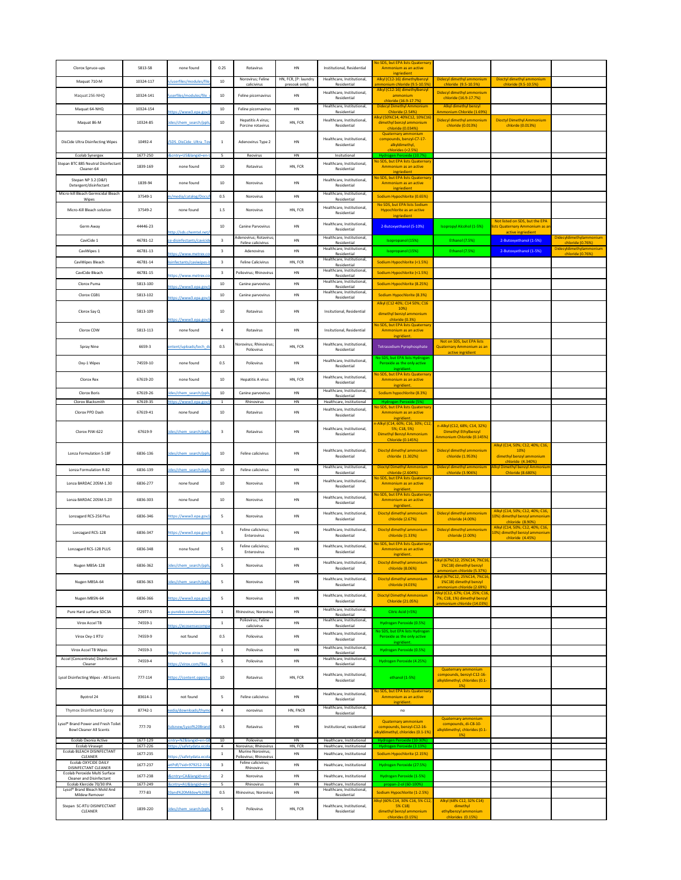| Clorox Spruce-ups                                                                                        | 5813-58              | none found                                          | 0.25                    | Rotavirus                                     | HN                                    | Institutional, Residential                                              | No SDS, but EPA lists Quaternary<br>Ammonium as an active                            |                                                                                      |                                                                                        |                                             |
|----------------------------------------------------------------------------------------------------------|----------------------|-----------------------------------------------------|-------------------------|-----------------------------------------------|---------------------------------------|-------------------------------------------------------------------------|--------------------------------------------------------------------------------------|--------------------------------------------------------------------------------------|----------------------------------------------------------------------------------------|---------------------------------------------|
| Maquat 710-M                                                                                             | 10324-117            | n/userfiles/modules/file                            | 10 <sub>1</sub>         | Norovirus; Feline<br>calicivirus              | HN, FCR, [P: laundry<br>presoak only] | Healthcare, Institutional,<br>Residential                               | ingriedient<br>Alkyl (C12-16) dimethylbenzyl<br>ammonium chloride (9.5-10.5%)        | Didecyl dimethyl ammonium<br>chloride (9.5-10.5%)                                    | Dioctyl dimethyl ammonium<br>chloride (9.5-10.5%)                                      |                                             |
| Maquat 256-NHQ                                                                                           | 10324-141            | /userfiles/modules/file                             | 10 <sub>1</sub>         | Feline picornavirus                           | HN                                    | Healthcare, Institutional,<br>Residential                               | Alkyl (C12-16) dimethylbenzyl<br>ammonium                                            | Didecyl dimethyl ammonium<br>chloride (16.9-17.7%)                                   |                                                                                        |                                             |
| Maquat 64-NHQ                                                                                            | 10324-154            | https://www3.epa.gov/                               | 10                      | Feline picornavirus                           | <b>HN</b>                             | Healthcare, Institutional,<br>Residential                               | chloride (16.9-17.7%)<br><b>Didecyl Dimethyl Ammonium</b><br><b>Chloride (2.54%)</b> | Alkyl dimethyl benzyl<br>Ammonium Chloride (1.69%)                                   |                                                                                        |                                             |
| Maquat 86-M                                                                                              | 10324-85             | cides/chem_search/ppls,                             | 10 <sup>°</sup>         | Hepatitis A virus;                            | HN, FCR                               | Healthcare, Institutional,                                              | Alkyl (50%C14, 40%C12, 10%C16)<br>dimethyl benzyl ammonium                           | Didecyl dimethyl ammonium                                                            | <b>Dioctyl Dimethyl Ammonium</b>                                                       |                                             |
|                                                                                                          |                      |                                                     |                         | Porcine rotavirus                             |                                       | Residential                                                             | chloride (0.034%)<br><b>Quaternary ammonium</b>                                      | chloride (0.013%)                                                                    | chlorde (0.013%)                                                                       |                                             |
| <b>DisCide Ultra Disinfecting Wipes</b>                                                                  | 10492-4              | /SDS_DisCide_Ultra_Tow                              |                         | Adenovirus Type 2                             | HN                                    | Healthcare, Institutional,<br>Residential                               | compounds, benzyl-C7-17-<br>alkyldimethyl,<br>chlorides (<2.5%)                      |                                                                                      |                                                                                        |                                             |
| <b>Ecolab Synergex</b><br>Stepan BTC 885 Neutral Disinfectant                                            | 1677-250             | <b>B&amp;cntry=US&amp;langid=en-l</b>               | 5 <sup>5</sup>          | Reovirus                                      | <b>HN</b>                             | Insitutional<br>Healthcare, Institutional,                              | Hydrogen Peroxide (10.7%)<br>No SDS, but EPA lists Quaternary                        |                                                                                      |                                                                                        |                                             |
| Cleaner-64                                                                                               | 1839-169             | none found                                          | 10                      | Rotavirus                                     | HN, FCR                               | Residential                                                             | Ammonium as an active<br>ingriedient<br>No SDS, but EPA lists Quaternary             |                                                                                      |                                                                                        |                                             |
| Stepan NP 3.2 (D&F)<br>Detergent/disinfectant                                                            | 1839-94              | none found                                          | 10 <sub>1</sub>         | Norovirus                                     | HN                                    | Healthcare, Institutional,<br>Residential                               | Ammonium as an active<br>ingriedient                                                 |                                                                                      |                                                                                        |                                             |
| Micro-kill Bleach Germicidal Bleach<br>Wipes                                                             | 37549-1              | m/media/catalog/Docs/                               | 0.5                     | Norovirus                                     | <b>HN</b>                             | Healthcare, Institutional,<br>Residential                               | Sodium Hypochlorite (0.65%)                                                          |                                                                                      |                                                                                        |                                             |
| Micro-Kill Bleach solution                                                                               | 37549-2              | none found                                          | 1.5                     | Norovirus                                     | HN, FCR                               | Healthcare, Institutional,<br>Residential                               | No SDS, but EPA lists Sodium<br>Hypochlorite as an active<br>ingriedient             |                                                                                      |                                                                                        |                                             |
| Germ Away                                                                                                | 44446-23             | http://sds.chemtel.net/\                            | 10                      | <b>Canine Parvovirus</b>                      | HN                                    | Healthcare, Institutional,<br>Residential                               | 2-Butoxyethanol (5-10%)                                                              | Isopropyl Alcohol (1-5%)                                                             | Not listed on SDS, but the EPA<br>ists Quaternary Ammonium as an<br>active ingriedient |                                             |
| CaviCide 1                                                                                               | 46781-12             | ce-disinfectants/cavicide                           | $\mathbf{3}$            | Adenovirus; Rotavirus;<br>Feline calicivirus  | HN                                    | Healthcare, Institutional,<br>Residential                               | Isopropanol (15%)                                                                    | Ethanol (7.5%)                                                                       | 2-Butoxyethanol (1-5%)                                                                 | Didecyldimethylammonium<br>chloride (0.76%) |
| CaviWipes 1                                                                                              | 46781-13             | https://www.metrex.co                               |                         | Adenovirus                                    | <b>HN</b>                             | Healthcare, Institutional,<br>Residential                               | Isopropanol (15%)                                                                    | Ethanol (7.5%)                                                                       | 2-Butoxyethanol (1-5%)                                                                 | Didecyldimethylammonium<br>chloride (0.76%) |
| CaviWipes Bleach                                                                                         | 46781-14             | lisinfectants/caviwipes-l                           | $\overline{\mathbf{3}}$ | <b>Feline Calicivirus</b>                     | HN, FCR                               | Healthcare, Institutional,<br>Residential                               | Sodium Hypochlorite (<1.5%)                                                          |                                                                                      |                                                                                        |                                             |
| CaviCide Bleach                                                                                          | 46781-15             | https://www.metrex.co                               |                         | Poliovirus; Rhinovirus                        | <b>HN</b>                             | Healthcare, Institutional,<br>Residential<br>Healthcare, Institutional, | Sodium Hypochlorite (<1.5%)                                                          |                                                                                      |                                                                                        |                                             |
| Clorox Puma                                                                                              | 5813-100             | https://www3.epa.gov/                               | 10                      | Canine parvovirus                             | <b>HN</b>                             | Residential<br>Healthcare, Institutional,                               | Sodium Hypochlorite (8.25%)                                                          |                                                                                      |                                                                                        |                                             |
| Clorox CGB1                                                                                              | 5813-102             | https://www3.epa.gov/                               | 10 <sub>1</sub>         | Canine parvovirus                             | HN                                    | Residential                                                             | Sodium Hypochlorite (8.3%)<br>Alkyl (C12 40%; C14 50%; C16                           |                                                                                      |                                                                                        |                                             |
| Clorox Say Q                                                                                             | 5813-109             |                                                     | 10 <sup>°</sup>         | Rotavirus                                     | HN                                    | Insitutional, Residential                                               | 10%<br>dimethyl benzyl ammonium                                                      |                                                                                      |                                                                                        |                                             |
|                                                                                                          |                      | https://www3.epa.gov/                               |                         |                                               |                                       |                                                                         | chloride (0.3%)<br>No SDS, but EPA lists Quaternary                                  |                                                                                      |                                                                                        |                                             |
| Clorox CDW                                                                                               | 5813-113             | none found                                          |                         | Rotavirus                                     | HN                                    | Insitutional, Residential                                               | Ammonium as an active<br>ingridient.                                                 | Not on SDS, but EPA lists                                                            |                                                                                        |                                             |
| <b>Spray Nine</b>                                                                                        | 6659-3               | ontent/uploads/tech do                              | 0.5                     | Norovirus; Rhinovirus;<br>Poliovirus          | HN, FCR                               | Healthcare, Institutional,<br>Residential                               | Tetrasodium Pyrophosphate                                                            | <b>Quaternary Ammonium as an</b><br>active ingridient                                |                                                                                        |                                             |
| Oxy-1 Wipes                                                                                              | 74559-10             | none found                                          | 0.5                     | Poliovirus                                    | HN                                    | Healthcare, Institutional,<br>Residential                               | No SDS, but EPA lists Hydrogen<br>Peroxide as the only active                        |                                                                                      |                                                                                        |                                             |
| Clorox Rex                                                                                               | 67619-20             | none found                                          | 10                      | Hepatitis A virus                             | HN, FCR                               | Healthcare, Institutional,                                              | ingridient.<br>No SDS, but EPA lists Quaternary<br>Ammonium as an active             |                                                                                      |                                                                                        |                                             |
| Clorox Boris                                                                                             | 67619-26             | cides/chem search/ppls                              | 10                      | Canine parvovirus                             | HN                                    | Residential<br>Healthcare, Institutional,                               | ingridient.<br>Sodium hypochlorite (8.3%)                                            |                                                                                      |                                                                                        |                                             |
| Clorox Blacksmith                                                                                        | 67619-35             | https://www3.epa.gov/                               |                         | Rhinovirus                                    | HN                                    | Residential<br>Healthcare, Institutional                                | Hydrogen Peroxide (5%)                                                               |                                                                                      |                                                                                        |                                             |
| Clorox PPD Dash                                                                                          | 67619-41             | none found                                          | 10                      | Rotavirus                                     | <b>HN</b>                             | Healthcare, Institutional,<br>Residential                               | No SDS, but EPA lists Quaternary<br>Ammonium as an active<br>ingridient.             |                                                                                      |                                                                                        |                                             |
|                                                                                                          |                      |                                                     |                         |                                               |                                       | Healthcare, Institutional,                                              | n-Alkyl (C14, 60%; C16, 30%; C12<br>5%; C18, 5%)                                     | n-Alkyl (C12, 68%; C14, 32%)                                                         |                                                                                        |                                             |
| Clorox PJW-622                                                                                           | 67619-9              | cides/chem_search/ppls/                             | $\overline{\mathbf{3}}$ | Rotavirus                                     | HN                                    | Residential                                                             | <b>Dimethyl Benzyl Ammonium</b><br><b>Chloride (0.145%)</b>                          | <b>Dimethyl Ethylbenzyl</b><br>Ammonium Chloride (0.145%)                            |                                                                                        |                                             |
| Lonza Formulation S-18F                                                                                  | 6836-136             | cides/chem search/ppls                              | 10                      | Feline calicivirus                            | HN                                    | Healthcare, Institutional,<br>Residential                               | Dioctyl dimethyl ammonium<br>chloride (1.302%)                                       | Didecyl dimethyl ammonium<br>chloride (1.953%)                                       | Alkyl (C14, 50%; C12, 40%; C16,<br>10%<br>dimethyl benzyl ammonium                     |                                             |
| Lonza Formulation R-82                                                                                   | 6836-139             | cides/chem search/ppls                              | 10 <sup>°</sup>         | Feline calicivirus                            | <b>HN</b>                             | Healthcare, Institutional,                                              | <b>Dioctyl Dimethyl Ammonium</b>                                                     | Didecyl dimethyl ammonium                                                            | chloride (4.340%)<br>Alkyl Dimethyl benzyl Ammonium                                    |                                             |
| Lonza BARDAC 205M-1.30                                                                                   | 6836-277             | none found                                          | 10                      | Norovirus                                     | HN                                    | Residential<br>Healthcare, Institutional,                               | chloride (2.604%)<br>No SDS, but EPA lists Quaternary<br>Ammonium as an active       | chloride (3.906%)                                                                    | Chloride (8.680%)                                                                      |                                             |
|                                                                                                          |                      |                                                     |                         |                                               |                                       | Residential                                                             | ingridient.<br>No SDS, but EPA lists Quaternary                                      |                                                                                      |                                                                                        |                                             |
| Lonza BARDAC 205M-5.22                                                                                   | 6836-303             | none found                                          | 10                      | Norovirus                                     | HN                                    | Healthcare, Institutional,<br>Residential                               | Ammonium as an active<br>ingridient.                                                 |                                                                                      |                                                                                        |                                             |
| Lonzagard RCS-256 Plus                                                                                   | 6836-346             | https://www3.epa.gov/                               |                         | Norovirus                                     | HN                                    | Healthcare, Institutional,<br>Residential                               | Dioctyl dimethyl ammonium<br>chloride (2.67%)                                        | Didecyl dimethyl ammonium<br>chloride (4.00%)                                        | Alkyl (C14, 50%; C12, 40%; C16,<br>10%) dimethyl benzyl ammonium<br>chloride (8.90%)   |                                             |
| Lonzagard RCS-128                                                                                        | 6836-347             | https://www3.epa.gov/                               | 5                       | Feline calicivirus;<br>Enterovirus            | HN                                    | Healthcare, Institutional,<br>Residential                               | Dioctyl dimethyl ammonium<br>chloride (1.33%)                                        | Didecyl dimethyl ammonium<br>chloride (2.00%)                                        | Alkyl (C14, 50%; C12, 40%; C16,<br>10%) dimethyl benzyl ammonium                       |                                             |
| Lonzagard RCS-128 PLUS                                                                                   | 6836-348             | none found                                          | 5                       | Feline calicivirus;                           | <b>HN</b>                             | Healthcare, Institutional,                                              | No SDS, but EPA lists Quaternary<br>Ammonium as an active                            |                                                                                      | chloride (4.45%)                                                                       |                                             |
|                                                                                                          |                      |                                                     |                         | Enterovirus                                   |                                       | Residential                                                             | ingridient.                                                                          | Alkyl (67%C12, 25%C14, 7%C16,                                                        |                                                                                        |                                             |
| Nugen MB5A-128                                                                                           | 6836-362             | cides/chem search/ppls                              | 5                       | Norovirus                                     | HN                                    | Healthcare, Institutional,<br>Residential                               | Dioctyl dimethyl ammonium<br>chloride (8.06%)                                        | 1%C18) dimethyl benzyl<br>ammonium chloride (5.37%)                                  |                                                                                        |                                             |
| Nugen MB5A-64                                                                                            | 6836-363             | cides/chem search/ppls/                             |                         | Norovirus                                     | HN                                    | Healthcare, Institutional,<br>Residential                               | Dioctyl dimethyl ammonium<br>chloride (4.03%)                                        | Alkyl (67%C12, 25%C14, 7%C16,<br>1%C18) dimethyl benzyl<br>ammonium chloride (2.69%) |                                                                                        |                                             |
| Nugen MB5N-64                                                                                            | 6836-366             | https://www3.epa.gov/                               |                         | Norovirus                                     | HN                                    | Healthcare, Institutional,<br>Residential                               | <b>Dioctyl Dimethyl Ammonium</b><br><b>Chloride (21.05%)</b>                         | Alkyl (C12, 67%; C14, 25%; C16,<br>7%; C18, 1%) dimethyl benzyl                      |                                                                                        |                                             |
| Pure Hard surface SDC3A                                                                                  | 72977-5              | w.purebio.com/assets/0                              |                         | Rhinovirus; Norovirus                         | <b>HN</b>                             | Healthcare, Institutional,                                              | Citric Acid (<5%)                                                                    | ammonium chloride (14.03%)                                                           |                                                                                        |                                             |
| Virox Accel TB                                                                                           | 74559-1              | https://ecosensecompa                               | 1                       | Poliovirus; Feline<br>calicivirus             | HN                                    | Residential<br>Healthcare, Institutional,<br>Residential                | Hydrogen Peroxide (0.5%)                                                             |                                                                                      |                                                                                        |                                             |
| Virox Oxy-1 RTU                                                                                          | 74559-9              | not found                                           | 0.5                     | Poliovirus                                    | HN                                    | Healthcare, Institutional,                                              | No SDS, but EPA lists Hydrogen<br>Peroxide as the only active                        |                                                                                      |                                                                                        |                                             |
| Virox Accel TB Wipes                                                                                     | 74559-3              |                                                     |                         | Poliovirus                                    | <b>HN</b>                             | Residential<br>Healthcare, Institutional,                               | ingridient.<br>Hydrogen Peroxide (0.5%)                                              |                                                                                      |                                                                                        |                                             |
| Accel (Concentrate) Disinfectant                                                                         | 74559-4              | https://www.virox.com                               | 5.                      | Poliovirus                                    | HN                                    | Residential<br>Healthcare, Institutional,                               | Hydrogen Peroxide (4.25%)                                                            |                                                                                      |                                                                                        |                                             |
| Cleaner                                                                                                  |                      | https://virox.com/files                             |                         |                                               |                                       | Residential<br>Healthcare, Institutional,                               |                                                                                      | <b>Quaternary ammonium</b><br>compounds, benzyl-C12-16-                              |                                                                                        |                                             |
| Lysol Disinfecting Wipes - All Scents                                                                    | 777-114              | https://content.oppictui                            | 10                      | Rotavirus                                     | HN, FCR                               | Residential                                                             | ethanol (1-5%)                                                                       | alkyldimethyl, chlorides (0.1-<br>$1\%$                                              |                                                                                        |                                             |
| Byotrol 24                                                                                               | 83614-1              | not found                                           |                         | Feline calicivirus                            | HN                                    | Healthcare, Institutional,<br>Residential                               | No SDS, but EPA lists Quaternary<br>Ammonium as an active<br>ingridient.             |                                                                                      |                                                                                        |                                             |
| Thymox Disinfectant Spray                                                                                | 87742-1              | nedia/downloads/thym                                |                         | norovirus                                     | HN, FNCR                              | Healthcare, Institutional,<br>Residential                               | no                                                                                   |                                                                                      |                                                                                        |                                             |
| Lysol <sup>®</sup> Brand Power and Fresh Toilet                                                          | 777-70               | /sdsnew/Lysol%20Brand                               | 0.5                     | Rotavirus                                     | HN                                    | Institutional, residential                                              | <b>Quaternary ammonium</b><br>compounds, benzyl-C12-16-                              | <b>Quaternary ammonium</b><br>compounds, di-C8-10-                                   |                                                                                        |                                             |
| <b>Bowl Cleaner All Scents</b><br>Ecolab Oxonia Active                                                   | 1677-129             | cntry=NZ&langid=en-GB                               | 10                      | Poliovirus                                    | <b>HN</b>                             | Healthcare, Institutional                                               | alkyldimethyl, chlorides (0.1-1%)<br>Hydrogen Peroxide (10-30%)                      | alkyldimethyl, chlorides (0.1-<br>$1\%$                                              |                                                                                        |                                             |
| <b>Ecolab Virasept</b><br>Ecolab BLEACH DISINFECTANT                                                     | 1677-226             | https://safetydata.ecola                            |                         | Norovirus; Rhinovirus<br>Murine Norovirus;    | HN, FCR                               | Healthcare, Institutional                                               | Hydrogen Peroxide (3.13%)                                                            |                                                                                      |                                                                                        |                                             |
| <b>CLEANER</b><br>Ecolab OXYCIDE DAILY                                                                   | 1677-235<br>1677-237 | https://safetydata.ecolal<br>jetPdf/?sid=979252-15& |                         | Poliovirus; Rhinovirus<br>Feline calicivirus; | <b>HN</b><br><b>HN</b>                | Healthcare, Institutional<br>Healthcare, Institutional                  | Sodium Hypochlorite (2.15%)<br>Hydrogen Peroxide (27.5%)                             |                                                                                      |                                                                                        |                                             |
| <b>DISINFECTANT CLEANER</b><br>Ecolab Peroxide Multi Surface                                             | 1677-238             | <b>B&amp;cntry=CA&amp;langid=en-G</b>               | $\overline{2}$          | Rhinovirus<br>Norovirus                       | HN                                    | Healthcare, Institutional                                               | Hydrogen Peroxide (1-5%)                                                             |                                                                                      |                                                                                        |                                             |
| <b>Cleaner and Disinfectant</b><br>Ecolab Klercide 70/30 IPA<br>Lysol <sup>®</sup> Brand Bleach Mold And | 1677-249             | &cntry=AU&langid=en-0                               | 5 <sub>1</sub>          | Rhinovirus                                    | <b>HN</b>                             | Healthcare, Institutional<br>Healthcare, Institutional,                 | propan-2-ol (60-100%)                                                                |                                                                                      |                                                                                        |                                             |
| Mildew Remover                                                                                           | 777-83               | 20and%20Mildew%20Bl                                 | 0.5                     | Rhinovirus; Norovirus                         | <b>HN</b>                             | Residential                                                             | Sodium Hypochlorite (1-2.5%)<br>Alkyl (60% C14, 30% C16, 5% C12                      | Alkyl (68% C12, 32% C14)                                                             |                                                                                        |                                             |
| Stepan SC-RTU DISINFECTANT<br>CLEANER                                                                    | 1839-220             | cides/chem search/ppls/                             | -5                      | Poliovirus                                    | HN, FCR                               | Healthcare, Institutional,<br>Residential                               | $5\%$ C18)<br>dimethyl benzyl ammonium<br>chlorides (0.15%)                          | dimethyl<br>ethylbenzyl ammonium<br>chlorides (0.15%)                                |                                                                                        |                                             |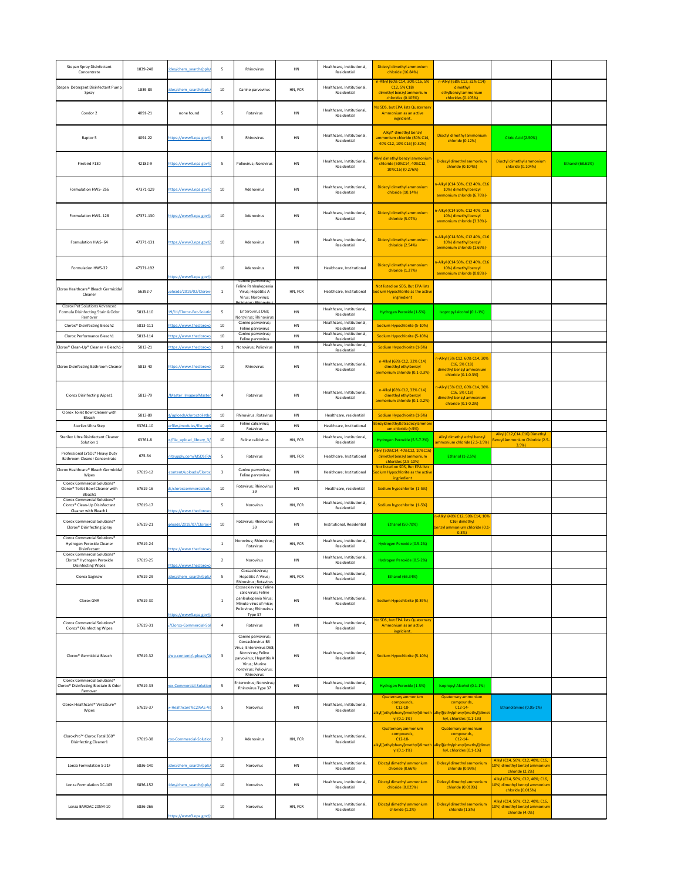| <b>Stepan Spray Disinfectant</b><br>Concentrate                                                                                | 1839-248  | cides/chem search/ppls/                           | 5                       | Rhinovirus                                                                                                                                        | HN        | Healthcare, Institutional,<br>Residential | Didecyl dimethyl ammonium<br>chloride (16.84%)                                                                                           |                                                                                                    |                                                                                       |                  |
|--------------------------------------------------------------------------------------------------------------------------------|-----------|---------------------------------------------------|-------------------------|---------------------------------------------------------------------------------------------------------------------------------------------------|-----------|-------------------------------------------|------------------------------------------------------------------------------------------------------------------------------------------|----------------------------------------------------------------------------------------------------|---------------------------------------------------------------------------------------|------------------|
| Stepan Detergent Disinfectant Pump<br>Spray                                                                                    | 1839-83   | cides/chem search/ppls                            | 10                      | Canine parvovirus                                                                                                                                 | HN, FCR   | Healthcare, Institutional,<br>Residential | n-Alkyl (60% C14, 30% C16, 5%<br>$C12, 5\% C18$<br>dimethyl benzyl ammonium<br>chlorides (0.105%)                                        | n-Alkyl (68% C12, 32% C14)<br>dimethyl<br>ethylbenzyl ammonium<br>chlorides (0.105%)               |                                                                                       |                  |
| Condor 2                                                                                                                       | 4091-21   | none found                                        | - 5                     | Rotavirus                                                                                                                                         | HN        | Healthcare, Institutional,<br>Residential | No SDS, but EPA lists Quaternary<br>Ammonium as an active<br>ingridient.                                                                 |                                                                                                    |                                                                                       |                  |
| Raptor 5                                                                                                                       | 4091-22   | https://www3.epa.gov/r                            | - 5                     | Rhinovirus                                                                                                                                        | HN        | Healthcare, Institutional,<br>Residential | Alkyl* dimethyl benzyl<br>ammonium chloride (50% C14,<br>40% C12, 10% C16) (0.32%)                                                       | Dioctyl dimethyl ammonium<br>chloride (0.12%)                                                      | Citric Acid (2.50%)                                                                   |                  |
| Firebird F130                                                                                                                  | 42182-9   | https://www3.epa.gov/p                            | - 5                     | Poliovirus; Norovirus                                                                                                                             | HN        | Healthcare, Institutional,<br>Residential | Alkyl dimethyl benzyl ammonium<br>chloride (50%C14, 40%C12,<br>10%C16) (0.276%)                                                          | Didecyl dimethyl ammonium<br>chloride (0.104%)                                                     | Dioctyl dimethyl ammonium<br>chloride (0.104%)                                        | Ethanol (68.61%) |
| Formulation HWS-256                                                                                                            | 47371-129 | https://www3.epa.gov/r                            | 10                      | Adenovirus                                                                                                                                        | <b>HN</b> | Healthcare, Institutional,<br>Residential | Didecyl dimethyl ammonium<br>chloride (10.14%)                                                                                           | n-Alkyl (C14 50%, C12 40%, C16<br>10%) dimethyl benzyl<br>ammonium chloride (6.76%)-               |                                                                                       |                  |
| Formulation HWS-128                                                                                                            | 47371-130 | https://www3.epa.gov/p                            | 10                      | Adenovirus                                                                                                                                        | HN        | Healthcare, Institutional,<br>Residential | Didecyl dimethyl ammonium<br>chloride (5.07%)                                                                                            | n-Alkyl (C14 50%, C12 40%, C16<br>10%) dimethyl benzyl<br>ammonium chloride (3.38%)-               |                                                                                       |                  |
| Formulation HWS-64                                                                                                             | 47371-131 | https://www3.epa.gov/p                            | 10                      | Adenovirus                                                                                                                                        | HN        | Healthcare, Institutional,<br>Residential | Didecyl dimethyl ammonium<br>chloride (2.54%)                                                                                            | n-Alkyl (C14 50%, C12 40%, C16<br>10%) dimethyl benzyl<br>ammonium chloride (1.69%)-               |                                                                                       |                  |
| Formulation HWS-32                                                                                                             | 47371-192 | https://www3.epa.gov/p                            | 10                      | Adenovirus                                                                                                                                        | <b>HN</b> | Healthcare, Institutional                 | Didecyl dimethyl ammonium<br>chloride (1.27%)                                                                                            | n-Alkyl (C14 50%, C12 40%, C16<br>10%) dimethyl benzyl<br>ammonium chloride (0.85%)-               |                                                                                       |                  |
| Clorox Healthcare <sup>®</sup> Bleach Germicidal<br>Cleaner                                                                    | 56392-7   | uploads/2019/02/Clorox-                           |                         | Canine parvovirus;<br>Feline Panleukopenia<br>Virus; Hepatitis A<br>Virus; Norovirus;<br>Poliovirus: Rhinovirus                                   | HN, FCR   | Healthcare, Institutional                 | Not listed on SDS, But EPA lists<br>Sodium Hypochlorite as the active<br>ingriedient                                                     |                                                                                                    |                                                                                       |                  |
| <b>Clorox Pet Solutions Advanced</b><br>Formula Disinfecting Stain & Odor                                                      | 5813-110  | 19/11/Clorox-Pet-Solutic                          | - 5                     | Enterovirus D68;                                                                                                                                  | HN        | Healthcare, Institutional,<br>Residential | Hydrogen Peroxide (1-5%)                                                                                                                 | Isopropyl alcohol (0.1-1%)                                                                         |                                                                                       |                  |
| Remover<br>Clorox <sup>®</sup> Disinfecting Bleach2                                                                            | 5813-111  | https://www.thecloroxc                            | 10                      | Norovirus; Rhinovirus<br>Canine parvovirus;<br>Feline parvovirus                                                                                  | HN        | Healthcare, Institutional,<br>Residential | Sodium Hypochlorite (5-10%)                                                                                                              |                                                                                                    |                                                                                       |                  |
| Clorox Performance Bleach1                                                                                                     | 5813-114  | https://www.thecloroxc                            | 10                      | Canine parvovirus;<br>Feline parvovirus                                                                                                           | HN        | Healthcare, Institutional,<br>Residential | Sodium Hypochlorite (5-10%)                                                                                                              |                                                                                                    |                                                                                       |                  |
| Clorox <sup>®</sup> Clean-Up® Cleaner + Bleach1                                                                                | 5813-21   | https://www.thecloroxc                            |                         | Norovirus; Poliovirus                                                                                                                             | <b>HN</b> | Healthcare, Institutional,<br>Residential | Sodium Hypochlorite (1-5%)                                                                                                               |                                                                                                    |                                                                                       |                  |
| Clorox Disinfecting Bathroom Cleaner                                                                                           | 5813-40   | https://www.thecloroxc                            | 10                      | Rhinovirus                                                                                                                                        | HN        | Healthcare, Institutional,<br>Residential | n-Alkyl (68% C12, 32% C14)<br>dimethyl ethylbenzyl<br>ammonium chloride (0.1-0.3%)                                                       | n-Alkyl (5% C12, 60% C14, 30%<br>$C16, 5\% C18$<br>dimethyl benzyl ammonium<br>chloride (0.1-0.3%) |                                                                                       |                  |
| <b>Clorox Disinfecting Wipes1</b>                                                                                              | 5813-79   | Master_Images/Master                              | -4                      | Rotavirus                                                                                                                                         | HN        | Healthcare, Institutional,<br>Residential | n-Alkyl (68% C12, 32% C14)<br>dimethyl ethylbenzyl<br>ammonium chloride (0.1-0.2%)                                                       | n-Alkyl (5% C12, 60% C14, 30%<br>$C16, 5\% C18$<br>dimethyl benzyl ammonium<br>chloride (0.1-0.2%) |                                                                                       |                  |
| Clorox Toilet Bowl Cleaner with<br>Bleach                                                                                      | 5813-89   | nt/uploads/cloroxtoiletbo                         | 10                      | Rhinovirus. Rotavirus                                                                                                                             | HN        | Healthcare, residential                   | Sodium Hypochlorite (1-5%)                                                                                                               |                                                                                                    |                                                                                       |                  |
| Sterilex Ultra Step                                                                                                            | 63761-10  | erfiles/modules/file upl                          | 10                      | Feline calicivirus;<br>Rotavirus                                                                                                                  | HN        | Healthcare, Institutional                 | Benzyldimethyltetradecylammoni<br>um chloride (<5%)                                                                                      |                                                                                                    |                                                                                       |                  |
| Sterilex Ultra Disinfectant Cleaner<br>Solution 1                                                                              | 63761-8   | es/file upload library 3                          | 10                      | Feline calicivirus                                                                                                                                | HN, FCR   | Healthcare, Institutional,<br>Residential | Hydrogen Peroxide (5.5-7.2%)                                                                                                             | Alkyl dimethyl ethyl benzyl<br>ammonium chloride (2.5-3.5%)                                        | Alkyl (C12,C14,C16) Dimethyl<br>Benzyl Ammonium Chloride (2.5-                        |                  |
| Professional LYSOL <sup>®</sup> Heavy Duty                                                                                     | 675-54    | nitsupply.com/MSDS/RA                             | -5                      | Rotavirus                                                                                                                                         | HN, FCR   | Healthcare, Institutional                 | Alkyl (50%C14, 40%C12, 10%C16)<br>dimethyl benzyl ammonium                                                                               | Ethanol (1-2.5%)                                                                                   | 3.5%                                                                                  |                  |
| <b>Bathroom Cleaner Concentrate</b><br>Clorox Healthcare® Bleach Germicidal                                                    | 67619-12  | -content/uploads/Clorox                           | -3                      | Canine parvovirus;                                                                                                                                | HN        | Healthcare; Institutional                 | chlorides (2.5-10%)<br>Not listed on SDS, But EPA lists<br>Sodium Hypochlorite as the active                                             |                                                                                                    |                                                                                       |                  |
| Wipes<br>Clorox Commercial Solutions <sup>®</sup>                                                                              |           |                                                   |                         | Feline parvovirus<br>Rotavirus; Rhinovirus                                                                                                        |           |                                           | ingriedient                                                                                                                              |                                                                                                    |                                                                                       |                  |
| Clorox® Toilet Bowl Cleaner with<br>Bleach1<br>Clorox Commercial Solutions <sup>®</sup>                                        | 67619-16  | ds/cloroxcommercialsol                            | 10                      | 39                                                                                                                                                | HN        | Healthcare, residential                   | Sodium hypochlorite (1-5%)                                                                                                               |                                                                                                    |                                                                                       |                  |
| Clorox <sup>®</sup> Clean-Up Disinfectant<br>Cleaner with Bleach1                                                              | 67619-17  | https://www.thecloroxc                            | -5                      | Norovirus                                                                                                                                         | HN, FCR   | Healthcare, Institutional,<br>Residential | Sodium hypochlorite (1-5%)                                                                                                               |                                                                                                    |                                                                                       |                  |
| Clorox Commercial Solutions <sup>®</sup><br>Clorox <sup>®</sup> Disinfecting Spray<br>Clorox Commercial Solutions <sup>®</sup> | 67619-21  | uploads/2019/07/Clorox-                           | 10                      | Rotavirus; Rhinovirus<br>39                                                                                                                       | HN        | Institutional, Residential                | Ethanol (50-70%)                                                                                                                         | n-Alkyl (40% C12, 50% C14, 10%<br>C16) dimethyl<br>benzyl ammonium chloride (0.1-<br>0.3%          |                                                                                       |                  |
| Hydrogen Peroxide Cleaner<br>Disinfectant                                                                                      | 67619-24  | https://www.thecloroxc                            |                         | Norovirus; Rhinovirus;<br>Rotavirus                                                                                                               | HN, FCR   | Healthcare, Institutional,<br>Residential | Hydrogen Peroxide (0.5-2%)                                                                                                               |                                                                                                    |                                                                                       |                  |
| Clorox Commercial Solutions <sup>®</sup><br>Clorox <sup>®</sup> Hydrogen Peroxide<br><b>Disinfecting Wipes</b>                 | 67619-25  | https://www.thecloroxc                            | $\overline{2}$          | Norovirus                                                                                                                                         | HN        | Healthcare, Institutional,<br>Residential | Hydrogen Peroxide (0.5-2%)                                                                                                               |                                                                                                    |                                                                                       |                  |
| Clorox Saginaw                                                                                                                 | 67619-29  | cides/chem_search/ppls                            | -5                      | Coxsackievirus;<br>Hepatitis A Virus;                                                                                                             | HN, FCR   | Healthcare, Institutional,<br>Residential | Ethanol (66.34%)                                                                                                                         |                                                                                                    |                                                                                       |                  |
| Clorox GNR                                                                                                                     | 67619-30  |                                                   |                         | Rhinovirus; Rotavirus<br>Coxsackievirus; Feline<br>calicivirus; Feline<br>panleukopenia Virus;<br>Minute virus of mice;<br>Poliovirus; Rhinovirus | HN        | Healthcare, Institutional,<br>Residential | Sodium Hypochlorite (0.39%)                                                                                                              |                                                                                                    |                                                                                       |                  |
| Clorox Commercial Solutions <sup>®</sup><br>Clorox <sup>®</sup> Disinfecting Wipes                                             | 67619-31  | https://www3.epa.gov/p<br>5/Clorox-Commercial-Sol | - 4                     | Type 37<br>Rotavirus<br>Canine parvovirus;                                                                                                        | HN        | Healthcare, Institutional,<br>Residential | No SDS, but EPA lists Quaternary<br>Ammonium as an active<br>ingridient.                                                                 |                                                                                                    |                                                                                       |                  |
| Clorox <sup>®</sup> Germicidal Bleach                                                                                          | 67619-32  | n/wp-content/uploads/2                            | $\overline{\mathbf{3}}$ | Coxsackievirus B3<br>Virus; Enterovirus D68;<br>Norovirus; Feline<br>parvovirus; Hepatitis A<br>Virus; Murine<br>norovirus; Poliovirus;           | HN        | Healthcare, Institutional,<br>Residential | Sodium Hypochlorite (5-10%)                                                                                                              |                                                                                                    |                                                                                       |                  |
| Clorox Commercial Solutions <sup>®</sup><br>Clorox <sup>®</sup> Disinfecting Biostain & Odor<br>Remover                        | 67619-33  | rox-Commercial-Solution                           | - 5                     | Rhinovirus<br>Enterovirus; Norovirus;<br>Rhinovirus Type 37                                                                                       | HN        | Healthcare, Institutional,<br>Residential | Hydrogen Peroxide (1-5%)                                                                                                                 | <b>Isopropyl Alcohol (0.1-1%)</b>                                                                  |                                                                                       |                  |
| Clorox Healthcare® VersaSure®<br>Wipes                                                                                         | 67619-37  | x-Healthcare%C2%AE-Ve                             | - 5                     | Norovirus                                                                                                                                         | <b>HN</b> | Healthcare, Institutional,<br>Residential | <b>Quaternary ammonium</b><br>compounds,<br>$C12-18-$<br>alkyl[(ethylphenyl)methyl]dimeth alkyl[(ethylphenyl)methyl]dimet<br>yl (0.1-1%) | <b>Quaternary ammonium</b><br>compounds,<br>$C12-14-$<br>hyl, chlorides (0.1-1%)                   | Ethanolamine (0.05-1%)                                                                |                  |
| CloroxPro <sup>™</sup> Clorox Total 360 <sup>®</sup><br><b>Disinfecting Cleaner1</b>                                           | 67619-38  | rox-Commercial-Solution                           | $\overline{2}$          | Adenovirus                                                                                                                                        | HN, FCR   | Healthcare, Institutional,<br>Residential | <b>Quaternary ammonium</b><br>compounds,<br>$C12-18-$<br>alkyl[(ethylphenyl)methyl]dimeth alkyl[(ethylphenyl)methyl]dimet<br>$y(0.1-1%)$ | <b>Quaternary ammonium</b><br>compounds,<br>$C12-14-$<br>hyl, chlorides (0.1-1%)                   |                                                                                       |                  |
| Lonza Formulation S-21F                                                                                                        | 6836-140  | cides/chem_search/ppls                            | 10                      | Norovirus                                                                                                                                         | HN        | Healthcare, Institutional,<br>Residential | Dioctyl dimethyl ammonium<br>chloride (0.66%)                                                                                            | Didecyl dimethyl ammonium<br>chloride (0.99%)                                                      | Alkyl (C14, 50%; C12, 40%; C16,<br>10%) dimethyl benzyl ammonium<br>chloride (2.2%)   |                  |
| Lonza Formulation DC-103                                                                                                       | 6836-152  | cides/chem_search/ppls,                           | 10                      | Norovirus                                                                                                                                         | HN        | Healthcare, Institutional,<br>Residential | Dioctyl dimethyl ammonium<br>chloride (0.025%)                                                                                           | Didecyl dimethyl ammonium<br>chloride (0.010%)                                                     | Alkyl (C14, 50%; C12, 40%; C16,<br>10%) dimethyl benzyl ammonium<br>chloride (0.015%) |                  |
| Lonza BARDAC 205M-10                                                                                                           | 6836-266  | https://www3.epa.gov/p                            | 10                      | Norovirus                                                                                                                                         | HN, FCR   | Healthcare, Institutional,<br>Residential | Dioctyl dimethyl ammonium<br>chloride (1.2%)                                                                                             | Didecyl dimethyl ammonium<br>chloride (1.8%)                                                       | Alkyl (C14, 50%; C12, 40%; C16,<br>10%) dimethyl benzyl ammonium<br>chloride (4.0%)   |                  |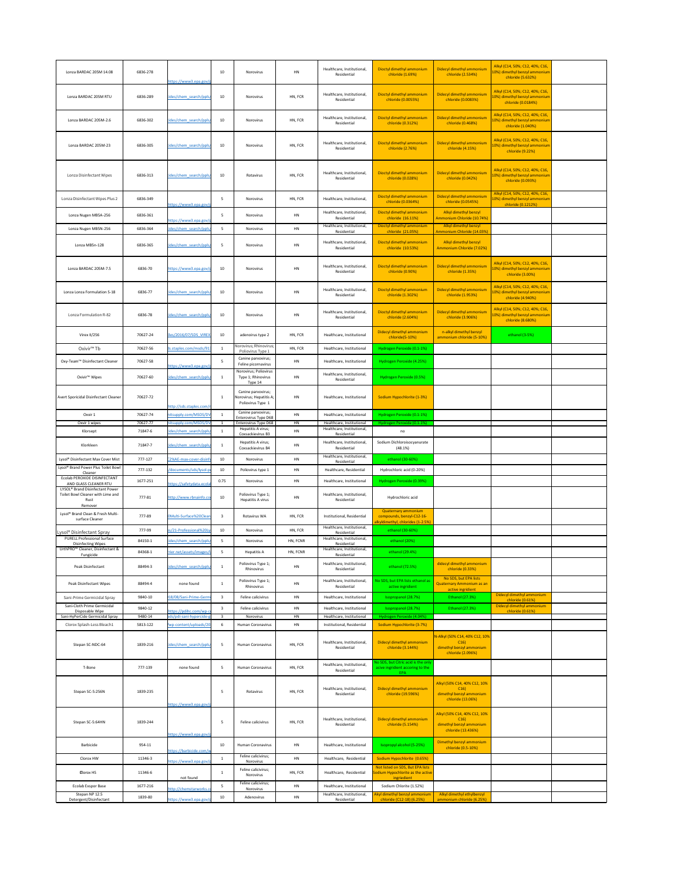| Lonza BARDAC 205M 14.08                                                                             | 6836-278           |                                                   | 10              | Norovirus                                                                        | HN        | Healthcare, Institutional,<br>Residential                               | Dioctyl dimethyl ammonium<br>chloride (1.69%)                                                | Didecyl dimethyl ammonium<br>chloride (2.534%)                                         | Alkyl (C14, 50%; C12, 40%; C16,<br>10%) dimethyl benzyl ammonium<br>chloride (5.632%)  |  |
|-----------------------------------------------------------------------------------------------------|--------------------|---------------------------------------------------|-----------------|----------------------------------------------------------------------------------|-----------|-------------------------------------------------------------------------|----------------------------------------------------------------------------------------------|----------------------------------------------------------------------------------------|----------------------------------------------------------------------------------------|--|
| Lonza BARDAC 205M RTU                                                                               | 6836-289           | https://www3.epa.gov/<br>cides/chem search/ppls   | 10              | Norovirus                                                                        | HN, FCR   | Healthcare, Institutional,<br>Residential                               | Dioctyl dimethyl ammonium<br>chloride (0.0055%)                                              | Didecyl dimethyl ammonium<br>chloride (0.0083%)                                        | Alkyl (C14, 50%; C12, 40%; C16,<br>10%) dimethyl benzyl ammonium<br>chloride (0.0184%) |  |
| Lonza BARDAC 205M-2.6                                                                               | 6836-302           | cides/chem_search/ppls                            | 10              | Norovirus                                                                        | HN, FCR   | Healthcare, Institutional,<br>Residential                               | Dioctyl dimethyl ammonium<br>chloride (0.312%)                                               | Didecyl dimethyl ammonium<br>chloride (0.468%)                                         | Alkyl (C14, 50%; C12, 40%; C16,<br>10%) dimethyl benzyl ammonium                       |  |
|                                                                                                     |                    |                                                   |                 |                                                                                  |           | Healthcare, Institutional,                                              | Dioctyl dimethyl ammonium                                                                    | Didecyl dimethyl ammonium                                                              | chloride (1.040%)<br>Alkyl (C14, 50%; C12, 40%; C16,                                   |  |
| Lonza BARDAC 205M-23                                                                                | 6836-305           | cides/chem_search/ppls                            | 10              | Norovirus                                                                        | HN, FCR   | Residential                                                             | chloride (2.76%)                                                                             | chloride (4.15%)                                                                       | 10%) dimethyl benzyl ammonium<br>chloride (9.22%)                                      |  |
| <b>Lonza Disinfectant Wipes</b>                                                                     | 6836-313           | cides/chem search/ppls                            | 10 <sup>°</sup> | Rotavirus                                                                        | HN, FCR   | Healthcare, Institutional,<br>Residential                               | Dioctyl dimethyl ammonium<br>chloride (0.028%)                                               | Didecyl dimethyl ammonium<br>chloride (0.042%)                                         | Alkyl (C14, 50%; C12, 40%; C16,<br>10%) dimethyl benzyl ammonium<br>chloride (0.093%)  |  |
| Lonza Disinfectant Wipes Plus 2                                                                     | 6836-349           | https://www3.epa.gov/                             | -5              | Norovirus                                                                        | HN, FCR   | Healthcare, Institutional,                                              | Dioctyl dimethyl ammonium<br>chloride (0.0364%)                                              | Didecyl dimethyl ammonium<br>chloride (0.0545%)                                        | Alkyl (C14, 50%; C12, 40%; C16,<br>10%) dimethyl benzyl ammonium<br>chloride (0.1212%) |  |
| Lonza Nugen MB5A-256                                                                                | 6836-361           |                                                   |                 | Norovirus                                                                        | HN        | Healthcare, Institutional<br>Residential                                | Dioctyl dimethyl ammonium<br>chloride (16.11%)                                               | Alkyl dimethyl benzyl<br>Ammonium Chloride (10.74%)                                    |                                                                                        |  |
| Lonza Nugen MB5N-256                                                                                | 6836-364           | https://www3.epa.gov/<br>cides/chem_search/ppls/  | -5.             | Norovirus                                                                        | HN        | Healthcare, Institutional<br>Residential                                | Dioctyl dimethyl ammonium<br>chloride (21.05%)                                               | Alkyl dimethyl benzyl<br>Ammonium Chloride (14.03%)                                    |                                                                                        |  |
| Lonza MB5n-128                                                                                      | 6836-365           | cides/chem_search/ppls                            | -5              | Norovirus                                                                        | HN        | Healthcare, Institutional,<br>Residential                               | Dioctyl dimethyl ammonium<br>chloride (10.53%)                                               | Alkyl dimethyl benzyl<br>Ammonium Chloride (7.02%)                                     |                                                                                        |  |
| Lonza BARDAC 205M-7.5                                                                               | 6836-70            | https://www3.epa.gov/                             | 10 <sub>1</sub> | Norovirus                                                                        | HN        | Healthcare, Institutional,<br>Residential                               | Dioctyl dimethyl ammonium<br>chloride (0.90%)                                                | Didecyl dimethyl ammonium<br>chloride (1.35%)                                          | Alkyl (C14, 50%; C12, 40%; C16,<br>10%) dimethyl benzyl ammonium<br>chloride (3.00%)   |  |
| Lonza Lonza Formulation S-18                                                                        | 6836-77            | cides/chem search/ppls                            | 10 <sup>°</sup> | Norovirus                                                                        | HN        | Healthcare, Institutional,<br>Residential                               | Dioctyl dimethyl ammonium<br>chloride (1.302%)                                               | Didecyl dimethyl ammonium<br>chloride (1.953%)                                         | Alkyl (C14, 50%; C12, 40%; C16,<br>10%) dimethyl benzyl ammonium<br>chloride (4.940%)  |  |
| <b>Lonza Formulation R-82</b>                                                                       | 6836-78            | cides/chem_search/ppls/                           | 10              | Norovirus                                                                        | HN        | Healthcare, Institutional,<br>Residential                               | Dioctyl dimethyl ammonium<br>chloride (2.604%)                                               | Didecyl dimethyl ammonium<br>chloride (3.906%)                                         | Alkyl (C14, 50%; C12, 40%; C16,<br>10%) dimethyl benzyl ammonium<br>chloride (8.680%)  |  |
| Virex II/256                                                                                        | 70627-24           | files/2016/07/SDS VIREX                           | 10              | adenoirus type 2                                                                 | HN, FCR   | Healthcare, Institutional                                               | Didecyl dimethyl ammonium<br>chloride(5-10%)                                                 | n-alkyl dimethyl benzyl<br>ammonium chloride (5-10%)                                   | ethanol (3-5%)                                                                         |  |
| Oxivir <sup>™</sup> Tb                                                                              | 70627-56           | ds.staples.com/msds/913                           |                 | Norovirus; Rhinovirus;<br>Poliovirus Type 1                                      | HN, FCR   | Healthcare, Institutional                                               | Hydrogen Peroxide (0.1-1%)                                                                   |                                                                                        |                                                                                        |  |
| Oxy-Team™ Disinfectant Cleaner                                                                      | 70627-58           |                                                   |                 | Canine parvovirus;<br>Feline picornavirus                                        | HN        | Healthcare, Institutional                                               | Hydrogen Peroxide (4.25%)                                                                    |                                                                                        |                                                                                        |  |
| Oxivir <sup>™</sup> Wipes                                                                           | 70627-60           | https://www3.epa.gov/<br>cides/chem_search/ppls,  |                 | Norovirus; Poliovirus<br>Type 1; Rhinovirus<br>Type 14                           | HN        | Healthcare, Institutional,<br>Residential                               | Hydrogen Peroxide (0.5%)                                                                     |                                                                                        |                                                                                        |  |
| Avert Sporicidal Disinfectant Cleaner                                                               | 70627-72           |                                                   |                 | Canine parvovirus;<br>Norovirus; Hepatitis A;<br>Poliovirus Type 1               | HN        | Healthcare, Institutional                                               | Sodium Hypochlorite (1-3%)                                                                   |                                                                                        |                                                                                        |  |
| Oxvir 1                                                                                             | 70627-74           | http://sds.staples.com/<br>nitsupply.com/MSDS/D\  |                 | Canine parvovirus;                                                               | HN        | Healthcare, Institutional                                               | Hydrogen Peroxide (0.1-1%)                                                                   |                                                                                        |                                                                                        |  |
| Oxvir 1 wipes                                                                                       | 70627-77           | nitsupply.com/MSDS/D                              |                 | <b>Enterovirus Type D68</b><br><b>Enterovirus Type D68</b><br>Hepatitis A virus; | <b>HN</b> | Healthcare, Institutional<br>Healthcare, Institutional,                 | Hydrogen Peroxide (0.1-1%)                                                                   |                                                                                        |                                                                                        |  |
| Klorsept                                                                                            | 71847-6            | cides/chem_search/ppls                            |                 | Coxsackievirus B3                                                                | HN        | Residential                                                             | no                                                                                           |                                                                                        |                                                                                        |  |
| Klorkleen<br>Lysol® Disinfectant Max Cover Mist                                                     | 71847-7<br>777-127 | cides/chem_search/ppls<br>C2%AE-max-cover-disin   | 10 <sup>1</sup> | Hepatitis A virus;<br>Coxsackievirus B4<br>Norovirus                             | HN<br>HN  | Healthcare, Institutional,<br>Residential<br>Healthcare, Institutional, | Sodium Dichloroisocyanurate<br>(48.1%)<br>ethanol (30-60%)                                   |                                                                                        |                                                                                        |  |
| Lysol <sup>®</sup> Brand Power Plus Toilet Bowl<br>Cleaner                                          | 777-132            | 1/documents/sds/lysol-p                           | 10              | Poliovirus type 1                                                                | HN        | Residential<br>Healthcare, Residential                                  | Hydrochloric acid (0-20%)                                                                    |                                                                                        |                                                                                        |  |
| Ecolab PEROXIDE DISINFECTANT<br>AND GLASS CLEANER RTU                                               | 1677-251           | https://safetydata.ecol                           | 0.75            | Norovirus                                                                        | HN        | Healthcare, Institutional                                               | Hydrogen Peroxide (0.39%)                                                                    |                                                                                        |                                                                                        |  |
| LYSOL <sup>®</sup> Brand Disinfectant Power<br>Toilet Bowl Cleaner with Lime and<br>Rust<br>Remover | 777-81             | http://www.rbnainfo.col                           | 10 <sub>1</sub> | Poliovirus Type 1;<br>Hepatitis A virus                                          | HN        | Healthcare, Institutional,<br>Residential                               | Hydrochloric acid                                                                            |                                                                                        |                                                                                        |  |
| Lysol® Brand Clean & Fresh Multi-<br>surface Cleaner                                                | 777-89             | 0Multi-Surface%20Clear                            |                 | Rotavirus WA                                                                     | HN, FCR   | Institutional, Residential                                              | <b>Quaternary ammonium</b><br>compounds, benzyl-C12-16-<br>alkyldimethyl, chlorides (1-2.5%) |                                                                                        |                                                                                        |  |
| Lysol <sup>®</sup> Disinfectant Spray<br><b>PURELL Professional Surface</b>                         | 777-99             | es/21-Professional%20L                            | 10              | Norovirus                                                                        | HN, FCR   | Healthcare, Institutional,<br>Residential<br>Healthcare, Institutional, | ethanol (30-60%)                                                                             |                                                                                        |                                                                                        |  |
| <b>Disinfecting Wipes</b><br>UrthPRO <sup>™</sup> Cleaner, Disinfectant &                           | 84150-1            | cides/chem search/ppls                            | -5              | Norovirus                                                                        | HN, FCNR  | Residential<br>Healthcare, Institutional,                               | ethanol (20%)                                                                                |                                                                                        |                                                                                        |  |
| Fungicide                                                                                           | 84368-1            | rrier.net/assets/images/                          |                 | Hepatitis A                                                                      | HN, FCNR  | Residential                                                             | ethanol (29.4%)                                                                              |                                                                                        |                                                                                        |  |
| Peak Disinfectant                                                                                   | 88494-3            | cides/chem_search/ppls                            |                 | Poliovirus Type 1;<br>Rhinovirus<br>Poliovirus Type 1;                           | HN        | Healthcare, Institutional,<br>Residential<br>Healthcare, Institutional, | ethanol (72.5%)<br>No SDS, but EPA lists ethanol as                                          | didecyl dimethyl ammonium<br>chloride (0.33%)<br>No SDS, but EPA lists                 |                                                                                        |  |
| <b>Peak Disinfectant Wipes</b>                                                                      | 88494-4            | none found                                        | $\mathbf{1}$    | Rhinovirus                                                                       | <b>HN</b> | Residential                                                             | active ingridient                                                                            | Quaternary Ammonium as an<br>active ingridient                                         |                                                                                        |  |
| Sani-Prime Germicidal Spray<br>Sani-Cloth Prime Germicidal                                          | 9840-10            | 018/08/Sani-Prime-Germi                           | $\mathbf{3}$    | Feline calicivirus                                                               | HN        | Healthcare, Institutional                                               | Isopropanol (28.7%)                                                                          | Ethanol (27.3%)                                                                        | Didecyl dimethyl ammonium<br>chloride (0.61%)<br>Didecyl dimethyl ammonium             |  |
| Disposable Wipe<br>Sani-HyPerCide Germicidal Spray                                                  | 9840-12<br>9480-14 | https://pdihc.com/wp-c<br>ads/pdi-sani-hypercide- | 3               | Feline calicivirus<br>Norovirus                                                  | HN<br>HN  | Healthcare, Institutional<br>Healthcare, Institutional                  | Isopropanol (28.7%)<br>Hydrogen Peroxide (4.04%)                                             | Ethanol (27.3%)                                                                        | chloride (0.61%)                                                                       |  |
| Clorox Splash-Less Bleach1                                                                          | 5813-122           | wp-content/uploads/20                             |                 | Human Coronavirus                                                                | HN        | Institutional, Residential                                              | Sodium Hypochlorite (3-7%)                                                                   |                                                                                        |                                                                                        |  |
| Stepan SC-NDC-64                                                                                    | 1839-216           | cides/chem search/ppls                            |                 | Human Coronavirus                                                                | HN, FCR   | Healthcare, Institutional,<br>Residential                               | Didecyl dimethyl ammonium<br>chloride (3.144%)                                               | N-Alkyl (50% C14, 40% C12, 10%<br>C16<br>dimethyl benzyl ammonium<br>chloride (2.096%) |                                                                                        |  |
| T-Bone                                                                                              | 777-139            | none found                                        |                 | Human Coronavirus                                                                | HN, FCR   | Healthcare, Institutional,<br>Residential                               | No SDS, but Citric acid is the only<br>acive ingridient accoring to the<br>EPA               |                                                                                        |                                                                                        |  |
| Stepan SC-5:256N                                                                                    | 1839-235           |                                                   | 5               | Rotavirus                                                                        | HN, FCR   | Healthcare, Institutional,<br>Residential                               | Didecyl dimethyl ammonium<br>chloride (19.596%)                                              | Alkyl (50% C14, 40% C12, 10%<br>C16<br>dimethyl benzyl ammonium                        |                                                                                        |  |
|                                                                                                     |                    | https://www3.epa.gov/r                            |                 |                                                                                  |           |                                                                         |                                                                                              | chloride (13.06%)                                                                      |                                                                                        |  |
| Stepan SC-5:64HN                                                                                    | 1839-244           | https://www3.epa.gov/                             | -5              | Feline calicivirus                                                               | HN, FCR   | Healthcare, Institutional,<br>Residential                               | Didecyl dimethyl ammonium<br>chloride (5.154%)                                               | Alkyl (50% C14, 40% C12, 10%<br>C16<br>dimethyl benzyl ammonium<br>chloride (13.436%)  |                                                                                        |  |
| Barbicide                                                                                           | 954-11             |                                                   | 10              | <b>Human Coronavirus</b>                                                         | HN        | Healthcare, Institutional                                               | Isopropyl alcohol (5-25%)                                                                    | Dimethyl benzyl ammonium                                                               |                                                                                        |  |
| Clorox HW                                                                                           | 11346-3            | https://barbicide.com/w                           | $\mathbf{1}$    | Feline calicivirus;                                                              | <b>HN</b> | Healthcare, Residential                                                 | Sodium Hypochlorite (0.65%)                                                                  | chloride (0.5-10%)                                                                     |                                                                                        |  |
|                                                                                                     |                    | https://www3.epa.gov/                             |                 | Norovirus<br>Feline calicivirus;                                                 |           |                                                                         | Not listed on SDS, But EPA lists                                                             |                                                                                        |                                                                                        |  |
| Clorox HS                                                                                           | 11346-6            | not found                                         | $\mathbf{1}$    | Norovirus<br>Feline calicivirus;                                                 | HN, FCR   | Healthcare, Residential                                                 | Sodium Hypochlorite as the active<br>ingriedient                                             |                                                                                        |                                                                                        |  |
| <b>Ecolab Exspor Base</b><br>Stepan NP 12.5                                                         | 1677-216           | http://chemstarworks.c                            |                 | Norovirus                                                                        | HN        | Healthcare, Institutional<br>Healthcare, Institutional,                 | Sodium Chlorite (1.52%)<br>Akyl dimethyl benzyl ammonium                                     | Alkyl dimethyl ethylbenzyl                                                             |                                                                                        |  |
| Detergent/Disinfectant                                                                              | 1839-80            | https://www3.epa.gov/p                            | 10              | Adenovirus                                                                       | HN        | Residential                                                             | chloride (C12-18) (6.25%)                                                                    | ammonium chloride (6.25%)                                                              |                                                                                        |  |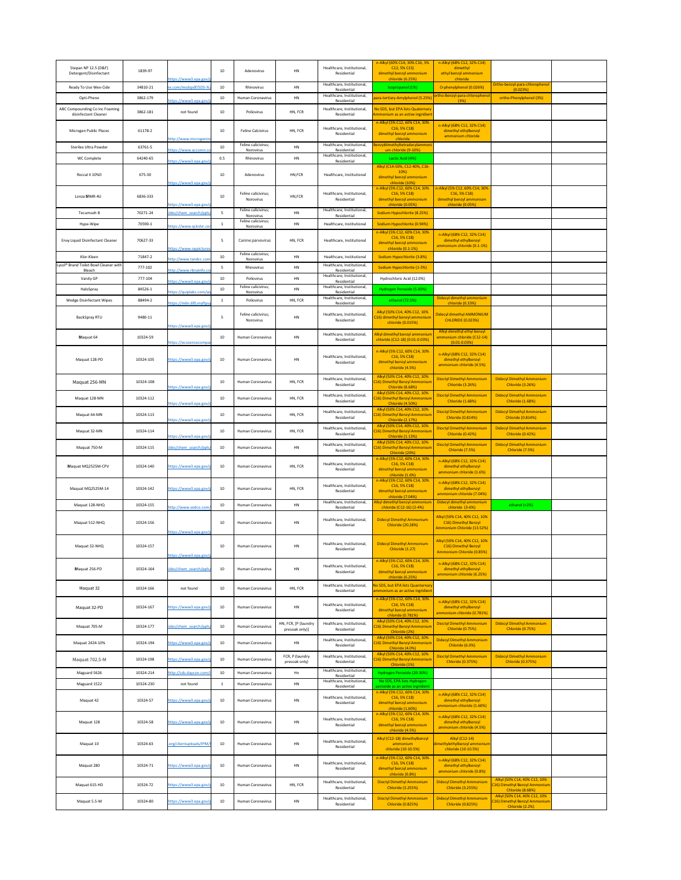| Stepan NP 12.5 (D&F)<br>Detergent/Disinfectant         | 1839-97            | https://www3.epa.gov/                            | 10              | Adenovirus                        | <b>HN</b>                        | Healthcare, Institutional,<br>Residential                               | n-Alkyl (60% C14, 30% C16, 5%<br>C12, 5% C1S)<br>dimethyl benzyl ammonium<br>chloride (6.25%) | n-Alkyl (68% C12, 32% C14)<br>dimethyl<br>ethyl benzyl ammonium<br>chloride    |                                                                                          |  |
|--------------------------------------------------------|--------------------|--------------------------------------------------|-----------------|-----------------------------------|----------------------------------|-------------------------------------------------------------------------|-----------------------------------------------------------------------------------------------|--------------------------------------------------------------------------------|------------------------------------------------------------------------------------------|--|
| Ready To Use Wex-Cide                                  | 34810-21           | re.com/msdspdf/SDS-%                             | 10              | Rhinovirus                        | <b>HN</b>                        | Healthcare, Institutional,<br>Residential                               | Isopropanol (1%)                                                                              | O-phenylphenol (0.026%)                                                        | Ortho-benzyl-para-chlorophenol<br>(0.023%)                                               |  |
| Opti-Phene                                             | 3862-179           | https://www3.epa.gov/                            | 10 <sup>°</sup> | <b>Human Coronavirus</b>          | <b>HN</b>                        | Healthcare, Institutional,<br>Residential                               | para-tertiary-Amylphenol (5.25%                                                               | ortho-Benzyl-para-chlorophenol<br>(3%)                                         | ortho-Phenylphenol (3%)                                                                  |  |
| ABC Compounding Co Inc Foaming<br>disinfectant Cleaner | 3862-181           | not found                                        | 10              | Poliovirus                        | HN, FCR                          | Healthcare, Institutional,<br>Residential                               | No SDS, but EPA lists Quaternary<br>Ammonium as an active ingridient                          |                                                                                |                                                                                          |  |
|                                                        |                    |                                                  |                 |                                   |                                  |                                                                         | n-Alkyl (5% C12, 60% C14, 30%                                                                 | n-Alkyl (68% C12, 32% C14)                                                     |                                                                                          |  |
| Microgen Public Places                                 | 61178-2            | http://www.microgenin                            | 10              | <b>Feline Calcivirus</b>          | HN, FCR                          | Healthcare, Institutional,<br>Residential                               | $C16, 5\% C18$<br>dimethyl benzyl ammonium<br>chloride                                        | dimethyl ethylbenzyl<br>ammonium chloride                                      |                                                                                          |  |
| <b>Sterilex Ultra Powder</b>                           | 63761-5            | https://www.accomn.co                            | 10              | Feline calicivirus;<br>Norovirus  | <b>HN</b>                        | Healthcare, Institutional,<br>Residential                               | Benzyldimethyltetradecylammoni<br>um chloride (9-10%)                                         |                                                                                |                                                                                          |  |
| WC Complete                                            | 64240-65           | https://www3.epa.gov/                            | 0.5             | Rhinovirus                        | <b>HN</b>                        | Healthcare, Institutional,<br>Residential                               | Lactic Acid (4%)                                                                              |                                                                                |                                                                                          |  |
| Roccal II 10%?                                         | 675-30             |                                                  | 10              | Adenovirus                        | HN, FCR                          | Healthcare, Institutional                                               | Alkyl (C14-50%, C12-40%, C16-<br>10%                                                          |                                                                                |                                                                                          |  |
|                                                        |                    | https://www3.epa.gov/                            |                 |                                   |                                  |                                                                         | dimethyl benzyl ammonium<br>chloride (10%)<br>n-Alkyl (5% C12, 60% C14, 30%                   | n-Alkyl (5% C12, 60% C14, 30%                                                  |                                                                                          |  |
| Lonza MMR-4U                                           | 6836-333           |                                                  | 10              | Feline calicivirus;<br>Norovirus  | HN, FCR                          | Healthcare, Institutional,<br>Residential                               | C <sub>16</sub> , 5% C <sub>18</sub> )<br>dimethyl benzyl ammonium                            | $C16, 5\% C18$<br>dimethyl benzyl ammonium                                     |                                                                                          |  |
| Tecumseh B                                             | 70271-24           | https://www3.epa.gov/p<br>cides/chem_search/ppls |                 | Feline calicivirus;               | <b>HN</b>                        | Healthcare, Institutional,                                              | chloride (0.05%)<br>Sodium Hypochlorite (8.25%)                                               | chloride (0.05%)                                                               |                                                                                          |  |
| Hype-Wipe                                              | 70590-1            |                                                  |                 | Norovirus<br>Feline calicivirus;  | <b>HN</b>                        | Residential<br>Healthcare, Institutional                                | Sodium Hypochlorite (0.94%)                                                                   |                                                                                |                                                                                          |  |
|                                                        |                    | https://www.qckslvr.com                          |                 | Norovirus                         |                                  |                                                                         | n-Alkyl (5% C12, 60% C14, 30%<br>$C16, 5\% C18$                                               | n-Alkyl (68% C12, 32% C14)                                                     |                                                                                          |  |
| Envy Liquid Disinfectant Cleaner                       | 70627-33           | https://www.oppictures                           | 5               | Canine parvovirus                 | HN, FCR                          | Healthcare, Institutional                                               | dimethyl benzyl ammonium<br>chloride (0.1-1%)                                                 | dimethyl ethylbenzyl<br>ammonium chloride (0.1-1%)                             |                                                                                          |  |
| Klor-Kleen                                             | 71847-2            | http://www.tandcc.com                            | 10              | Feline calicivirus;<br>Norovirus  | <b>HN</b>                        | Healthcare, Institutional                                               | Sodium Hypochlorite (3.8%)                                                                    |                                                                                |                                                                                          |  |
| Lysol® Brand Toilet Bowl Cleaner with<br>Bleach        | 777-102            | http://www.rbnainfo.co                           |                 | Rhinovirus                        | <b>HN</b>                        | Healthcare, Institutional,<br>Residential<br>Healthcare, Institutional, | Sodium Hypochlorite (1-5%)                                                                    |                                                                                |                                                                                          |  |
| Vanity GP                                              | 777-104            | https://www3.epa.gov/p                           | 10              | Poliovirus<br>Feline calicivirus; | <b>HN</b>                        | Residential<br>Healthcare, Institutional,                               | Hydrochloric Acid (12.0%)                                                                     |                                                                                |                                                                                          |  |
| HaloSpray<br><b>Wedge Disinfectant Wipes</b>           | 84526-1<br>88494-2 | https://quiplabs.com/wr                          | 10              | Norovirus<br>Poliovirus           | <b>HN</b><br>HN, FCR             | Residential<br>Healthcare, Institutional,                               | Hydrogen Peroxide (5.00%)<br>ethanol (72.5%)                                                  | Didecyl dimethyl ammonium                                                      |                                                                                          |  |
|                                                        |                    | https://m6n.6f0.myftpu                           |                 |                                   |                                  | Residential                                                             | Alkyl (50% C14, 40% C12, 10%                                                                  | chloride (0.33%)                                                               |                                                                                          |  |
| BackSpray RTU                                          | 9480-11            |                                                  | 5               | Feline calicivirus;<br>Norovirus  | HN                               | Healthcare, Institutional,<br>Residential                               | C16) dimethyl benzyl ammonium<br>chloride (0.015%)                                            | Didecyl dimethyl AMMONIUM<br><b>CHLORIDE (0.023%)</b>                          |                                                                                          |  |
| Maquat 64                                              | 10324-59           | https://www3.epa.gov/p                           | 10              | Human Coronavirus                 | HN                               | Healthcare, Institutional,                                              | Alkyl dimethyl benzyl ammonium                                                                | Alkyl dimethyl ethyl benzyl<br>ammonium chloride (C12-14)                      |                                                                                          |  |
|                                                        |                    | https://ecosensecompa                            |                 |                                   |                                  | Residential                                                             | chloride (C12-18) (0.01-0.03%)<br>n-Alkyl (5% C12, 60% C14, 30%                               | $(0.01 - 0.03%)$                                                               |                                                                                          |  |
| Maquat 128-PD                                          | 10324-105          | https://www3.epa.gov/                            | 10              | Human Coronavirus                 | <b>HN</b>                        | Healthcare, Institutional,<br>Residential                               | $C16, 5\% C18$<br>dimethyl benzyl ammonium                                                    | n-Alkyl (68% C12, 32% C14)<br>dimethyl ethylbenzyl<br>ammonium chloride (4.5%) |                                                                                          |  |
|                                                        |                    |                                                  |                 |                                   |                                  |                                                                         | chloride (4.5%)<br>Alkyl (50% C14, 40% C12, 10%                                               |                                                                                |                                                                                          |  |
| Maquat 256-MN                                          | 10324-108          | https://www3.epa.gov/                            | 10              | <b>Human Coronavirus</b>          | HN, FCR                          | Healthcare, Institutional,<br>Residential                               | C16) Dimethyl Benzyl Ammonium<br><b>Chloride (8.68%)</b>                                      | <b>Dioctyl Dimethyl Ammonium</b><br>Chloride (3.26%)                           | <b>Didecyl Dimethyl Ammonium</b><br><b>Chloride (3.26%)</b>                              |  |
| Maquat 128-MN                                          | 10324-112          |                                                  | 10              | <b>Human Coronavirus</b>          | HN, FCR                          | Healthcare, Institutional,<br>Residential                               | Alkyl (50% C14, 40% C12, 10%<br>C16) Dimethyl Benzyl Ammonium                                 | <b>Dioctyl Dimethyl Ammonium</b><br><b>Chloride (1.68%)</b>                    | <b>Didecyl Dimethyl Ammonium</b><br><b>Chloride (1.68%)</b>                              |  |
| Maquat 64-MN                                           | 10324-113          | https://www3.epa.gov/                            | 10              | <b>Human Coronavirus</b>          | HN, FCR                          | Healthcare, Institutional,                                              | <b>Chloride (4.50%)</b><br>Alkyl (50% C14, 40% C12, 10%<br>C16) Dimethyl Benzyl Ammonium      | <b>Dioctyl Dimethyl Ammonium</b>                                               | <b>Didecyl Dimethyl Ammonium</b>                                                         |  |
|                                                        |                    | https://www3.epa.gov/                            |                 |                                   |                                  | Residential<br>Healthcare, Institutional,                               | <b>Chloride (2.17%)</b><br>Alkyl (50% C14, 40% C12, 10%                                       | <b>Chloride (0.814%)</b><br><b>Dioctyl Dimethyl Ammonium</b>                   | <b>Chloride (0.814%)</b><br><b>Didecyl Dimethyl Ammonium</b>                             |  |
| Maquat 32-MN                                           | 10324-114          | https://www3.epa.gov/r                           | 10              | <b>Human Coronavirus</b>          | HN, FCR                          | Residential                                                             | C16) Dimethyl Benzyl Ammonium<br><b>Chloride (1.13%)</b><br>Alkyl (50% C14, 40% C12, 10%      | Chloride (0.42%)                                                               | <b>Chloride (0.42%)</b>                                                                  |  |
| Maquat 750-M                                           | 10324-115          | cides/chem search/ppls,                          | 10              | <b>Human Coronavirus</b>          | HN                               | Healthcare, Institutional,<br>Residential                               | C16) Dimethyl Benzyl Ammonium<br>Chloride (20%)                                               | <b>Dioctyl Dimethyl Ammonium</b><br>Chloride (7.5%)                            | <b>Didecyl Dimethyl Ammonium</b><br>Chloride (7.5%)                                      |  |
| Maquat MQ2525M-CPV                                     | 10324-140          | https://www3.epa.gov/r                           | 10 <sup>°</sup> | <b>Human Coronavirus</b>          | HN, FCR                          | Healthcare, Institutional,<br>Residential                               | n-Alkyl (5% C12, 60% C14, 30%<br>$C16, 5\% C18$<br>dimethyl benzyl ammonium                   | n-Alkyl (68% C12, 32% C14)<br>dimethyl ethylbenzyl                             |                                                                                          |  |
|                                                        |                    |                                                  |                 |                                   |                                  |                                                                         | chloride (1.6%)<br>n-Alkyl (5% C12, 60% C14, 30%                                              | ammonium chloride (1.6%)<br>n-Alkyl (68% C12, 32% C14)                         |                                                                                          |  |
| Maquat MQ2525M-14                                      | 10324-142          | https://www3.epa.gov/p                           | 10              | <b>Human Coronavirus</b>          | HN, FCR                          | Healthcare, Institutional,<br>Residential                               | C <sub>16</sub> , 5% C <sub>18</sub> )<br>dimethyl benzyl ammonium                            | dimethyl ethylbenzyl<br>ammonium chloride (7.04%)                              |                                                                                          |  |
| Maquat 128-NHQ                                         | 10324-155          | http://www.vedco.com                             | 10              | <b>Human Coronavirus</b>          | <b>HN</b>                        | Healthcare, Institutional,<br>Residential                               | chloride (7.04%)<br>Alkyl dimethyl benzyl ammonium<br>chloride (C12-16) (2-4%)                | Didecyl dimethyl ammonium<br>chloride (3-6%)                                   | ethanol (<2%)                                                                            |  |
|                                                        |                    |                                                  |                 |                                   |                                  | Healthcare, Institutional,                                              | <b>Didecyl Dimethyl Ammonium</b>                                                              | Alkyl (50% C14, 40% C12, 10%                                                   |                                                                                          |  |
| Maquat 512-NHQ                                         | 10324-156          | https://www3.epa.gov/                            | 10              | <b>Human Coronavirus</b>          | HN                               | Residential                                                             | <b>Chloride (20.28%)</b>                                                                      | C16) Dimethyl Benzyl<br>Ammonium Chloride (13.52%)                             |                                                                                          |  |
| Maquat 32-NHQ                                          | 10324-157          |                                                  | 10              | <b>Human Coronavirus</b>          | HN                               | Healthcare, Institutional,                                              | <b>Didecyl Dimethyl Ammonium</b>                                                              | Alkyl (50% C14, 40% C12, 10%<br>C16) Dimethyl Benzyl                           |                                                                                          |  |
|                                                        |                    | https://www3.epa.gov/p                           |                 |                                   |                                  | Residential                                                             | Chloride (1.27)                                                                               | Ammonium Chloride (0.85%)                                                      |                                                                                          |  |
| Maquat 256-PD                                          | 10324-164          | cides/chem search/ppls,                          | 10 <sup>°</sup> | <b>Human Coronavirus</b>          | HN                               | Healthcare, Institutional,<br>Residential                               | n-Alkyl (5% C12, 60% C14, 30%<br>$C16, 5\% C18$<br>dimethyl benzyl ammonium                   | n-Alkyl (68% C12, 32% C14)<br>dimethyl ethylbenzyl                             |                                                                                          |  |
|                                                        |                    |                                                  |                 |                                   |                                  |                                                                         | chloride (6.25%)<br>No SDS, but EPA lists Quanternary                                         | ammonium chloride (6.25%)                                                      |                                                                                          |  |
| Maquat 32                                              | 10324-166          | not found                                        | 10              | Human Coronavirus                 | HN, FCR                          | Healthcare, Institutional,<br>Residential                               | ammonium as an active ingridient<br>n-Alkyl (5% C12, 60% C14, 30%                             |                                                                                |                                                                                          |  |
| Maquat 32-PD                                           | 10324-167          | https://www3.epa.gov/r                           | 10              | <b>Human Coronavirus</b>          | <b>HN</b>                        | Healthcare, Institutional,<br>Residential                               | C <sub>16</sub> , 5% C <sub>18</sub> )<br>dimethyl benzyl ammonium                            | n-Alkyl (68% C12, 32% C14)<br>dimethyl ethylbenzyl                             |                                                                                          |  |
|                                                        |                    |                                                  |                 |                                   | HN, FCR, [P (laundry             | Healthcare, Institutional,                                              | chloride (0.781%)<br>Alkyl (50% C14, 40% C12, 10%                                             | ammonium chloride (0.781%)<br><b>Dioctyl Dimethyl Ammonium</b>                 | <b>Didecyl Dimethyl Ammonium</b>                                                         |  |
| Maquat 705-M                                           | 10324-177          | cides/chem search/ppls                           | 10              | <b>Human Coronavirus</b>          | presoak only)]                   | Residential                                                             | C16) Dimethyl Benzyl Ammonium<br>Chloride (2%)<br>Alkyl (50% C14, 40% C12, 10%                | <b>Chloride (0.75%)</b>                                                        | Chloride (0.75%)                                                                         |  |
| Maquat 2424-10%                                        | 10324-194          | https://www3.epa.gov/r                           | 10              | <b>Human Coronavirus</b>          | <b>HN</b>                        | Healthcare, Institutional,<br>Residential                               | C16) Dimethyl Benzyl Ammonium<br>Chloride (4.0%)                                              | <b>Didecyl Dimethyl Ammonium</b><br>Chloride (6.0%)                            |                                                                                          |  |
| Maquat 702.5-M                                         | 10324-198          | https://www3.epa.gov/r                           | 10              | Human Coronavirus                 | FCR, P (laundry<br>presoak only) | Healthcare, Institutional,<br>Residential                               | Alkyl (50% C14, 40% C12, 10%<br>C16) Dimethyl Benzyl Ammonium                                 | <b>Dioctyl Dimethyl Ammonium</b><br><b>Chloride (0.375%)</b>                   | <b>Didecyl Dimethyl Ammonium</b><br><b>Chloride (0.375%)</b>                             |  |
| Maguard 5626                                           | 10324-214          | http://sds.daycon.com                            | 10              | <b>Human Coronavirus</b>          | Hn                               | Healthcare, Institutional,<br>Residential                               | Chloride (1%)<br>Hydrogen Peroxide (20-30%)                                                   |                                                                                |                                                                                          |  |
| Maguard 1522                                           | 10324-230          | not found                                        |                 | <b>Human Coronavirus</b>          | <b>HN</b>                        | Healthcare, Institutional,<br>Residential                               | No SDS, EPA lists Hydrogen<br>peroxide as an active ingridient                                |                                                                                |                                                                                          |  |
| Maquat 42                                              | 10324-57           | https://www3.epa.gov/                            | 10              | Human Coronavirus                 | <b>HN</b>                        | Healthcare, Institutional,                                              | n-Alkyl (5% C12, 60% C14, 30%<br>C <sub>16</sub> , 5% C <sub>18</sub> )                       | n-Alkyl (68% C12, 32% C14)<br>dimethyl ethylbenzyl                             |                                                                                          |  |
|                                                        |                    |                                                  |                 |                                   |                                  | Residential                                                             | dimethyl benzyl ammonium<br>chloride (1.60%)<br>n-Alkyl (5% C12, 60% C14, 30%                 | ammonium chloride (1.60%)                                                      |                                                                                          |  |
| Maquat 128                                             | 10324-58           | https://www3.epa.gov/                            | 10              | <b>Human Coronavirus</b>          | HN                               | Healthcare, Institutional,<br>Residential                               | C <sub>16</sub> , 5% C <sub>18</sub> )<br>dimethyl benzyl ammonium                            | n-Alkyl (68% C12, 32% C14)<br>dimethyl ethylbenzyl<br>ammonium chloride (4.5%) |                                                                                          |  |
|                                                        |                    |                                                  |                 |                                   |                                  |                                                                         | chloride (4.5%)<br>Alkyl (C12-18) dimethylbenzyl                                              | Alkyl (C12-14)                                                                 |                                                                                          |  |
| Maquat 10                                              | 10324-63           | .org/clientuploads/IPM/                          | 10              | <b>Human Coronavirus</b>          | HN                               | Healthcare, Institutional,<br>Residential                               | ammonium<br>chloride (10-10.5%)                                                               | dimethylethylbenzyl ammonium<br>chloride (10-10.5%)                            |                                                                                          |  |
| Maquat 280                                             | 10324-71           | https://www3.epa.gov/p                           | 10 <sup>°</sup> | <b>Human Coronavirus</b>          | HN                               | Healthcare, Institutional,                                              | n-Alkyl (5% C12, 60% C14, 30%<br>$C16, 5\% C18$                                               | n-Alkyl (68% C12, 32% C14)<br>dimethyl ethylbenzyl                             |                                                                                          |  |
|                                                        |                    |                                                  |                 |                                   |                                  | Residential                                                             | dimethyl benzyl ammonium<br>chloride (0.8%)                                                   | ammonium chloride (0.8%)                                                       |                                                                                          |  |
| Maquat 615-HD                                          | 10324-72           | https://www3.epa.gov/p                           | 10              | <b>Human Coronavirus</b>          | HN, FCR                          | Healthcare, Institutional,<br>Residential                               | <b>Dioctyl Dimethyl Ammonium</b><br>Chloride (3.255%)                                         | <b>Didecyl Dimethyl Ammonium</b><br><b>Chloride (3.255%)</b>                   | Alkyl (50% C14, 40% C12, 10%<br>C16) Dimethyl Benzyl Ammonium<br><b>Chloride (8.68%)</b> |  |
| Maquat 5.5-M                                           | 10324-80           | https://www3.epa.gov/p                           | 10              | <b>Human Coronavirus</b>          | HN                               | Healthcare, Institutional,<br>Residential                               | <b>Dioctyl Dimethyl Ammonium</b><br><b>Chloride (0.825%)</b>                                  | <b>Didecyl Dimethyl Ammonium</b><br>Chloride (0.825%)                          | Alkyl (50% C14, 40% C12, 10%<br>C16) Dimethyl Benzyl Ammonium<br>Chloride (2.2%)         |  |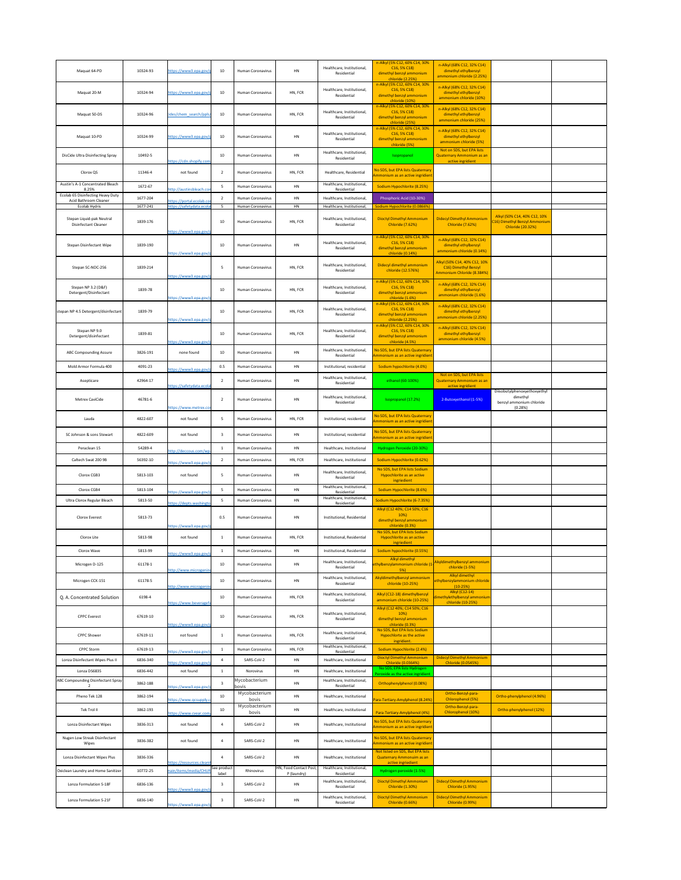| Maquat 64-PD                                                      | 10324-93             | https://www3.epa.gov/p                                    | 10 <sup>°</sup> | <b>Human Coronavirus</b>   | HN                           | Healthcare, Institutional,<br>Residential                | n-Alkyl (5% C12, 60% C14, 30%<br>$C16, 5\% C18$<br>dimethyl benzyl ammonium<br>chloride (2.25%)                 | n-Alkyl (68% C12, 32% C14)<br>dimethyl ethylbenzyl<br>ammonium chloride (2.25%)    |                                                                                           |  |
|-------------------------------------------------------------------|----------------------|-----------------------------------------------------------|-----------------|----------------------------|------------------------------|----------------------------------------------------------|-----------------------------------------------------------------------------------------------------------------|------------------------------------------------------------------------------------|-------------------------------------------------------------------------------------------|--|
| Maquat 20-M                                                       | 10324-94             | https://www3.epa.gov/p                                    | 10 <sup>°</sup> | <b>Human Coronavirus</b>   | HN, FCR                      | Healthcare, Institutional,<br>Residential                | n-Alkyl (5% C12, 60% C14, 30%<br>$C16, 5\% C18$<br>dimethyl benzyl ammonium                                     | n-Alkyl (68% C12, 32% C14)<br>dimethyl ethylbenzyl<br>ammonium chloride (10%)      |                                                                                           |  |
| Maquat 50-DS                                                      | 10324-96             | cides/chem search/ppls/                                   | 10              | <b>Human Coronavirus</b>   | HN, FCR                      | Healthcare, Institutional,<br>Residential                | chloride (10%)<br>n-Alkyl (5% C12, 60% C14, 30%<br>$C16, 5\% C18$<br>dimethyl benzyl ammonium<br>chloride (25%) | n-Alkyl (68% C12, 32% C14)<br>dimethyl ethylbenzyl<br>ammonium chloride (25%)      |                                                                                           |  |
| Maquat 10-PD                                                      | 10324-99             | https://www3.epa.gov/p                                    | 10 <sup>°</sup> | <b>Human Coronavirus</b>   | HN                           | Healthcare, Institutional,<br>Residential                | n-Alkyl (5% C12, 60% C14, 30%<br>$C16, 5\% C18$<br>dimethyl benzyl ammonium<br>chloride (5%)                    | n-Alkyl (68% C12, 32% C14)<br>dimethyl ethylbenzyl<br>ammonium chloride (5%)       |                                                                                           |  |
| <b>DisCide Ultra Disinfecting Spray</b>                           | 10492-5              | https://cdn.shopify.com                                   | 10              | <b>Human Coronavirus</b>   | HN                           | Healthcare, Institutional,<br>Residential                | Isopropanol                                                                                                     | Not on SDS, but EPA lists<br><b>Quaternary Ammonium as an</b><br>active ingridient |                                                                                           |  |
| Clorox QS                                                         | 11346-4              | not found                                                 |                 | <b>Human Coronavirus</b>   | HN, FCR                      | Healthcare, Residential                                  | No SDS, but EPA lists Quaternary<br>Ammonium as an active ingridient                                            |                                                                                    |                                                                                           |  |
| Austin's A-1 Concentrated Bleach<br>8.25%                         | 1672-67              | http://austinsbleach.con                                  |                 | <b>Human Coronavirus</b>   | <b>HN</b>                    | Healthcare, Institutional,<br>Residential                | Sodium Hypochlorite (8.25%)                                                                                     |                                                                                    |                                                                                           |  |
| <b>Ecolab 65 Disinfecting Heavy Duty</b><br>Acid Bathroom Cleaner | 1677-204             | https://portal.ecolab.cor                                 |                 | <b>Human Coronavirus</b>   | <b>HN</b>                    | Healthcare, Institutional,                               | Phosphoric Acid (10-30%)                                                                                        |                                                                                    |                                                                                           |  |
| Ecolab Hydris                                                     | 1677-241             | https://safetydata.ecola                                  |                 | <b>Human Coronavirus</b>   | <b>HN</b>                    | Healthcare, Institutional,                               | Sodium Hypochlorite (0.0866%)                                                                                   |                                                                                    |                                                                                           |  |
| Stepan Liquid-pak Neutral<br><b>Disinfectant Cleaner</b>          | 1839-176             | https://www3.epa.gov/r                                    | 10              | <b>Human Coronavirus</b>   | HN, FCR                      | Healthcare, Institutional,<br>Residential                | <b>Dioctyl Dimethyl Ammonium</b><br><b>Chloride (7.62%)</b>                                                     | <b>Didecyl Dimethyl Ammonium</b><br><b>Chloride (7.62%)</b>                        | Alkyl (50% C14, 40% C12, 10%<br>C16) Dimethyl Benzyl Ammonium<br><b>Chloride (20.32%)</b> |  |
| <b>Stepan Disinfectant Wipe</b>                                   | 1839-190             | https://www3.epa.gov/p                                    | 10              | <b>Human Coronavirus</b>   | HN                           | Healthcare, Institutional,<br>Residential                | n-Alkyl (5% C12, 60% C14, 30%<br>$C16, 5\% C18$<br>dimethyl benzyl ammonium<br>chloride (0.14%)                 | n-Alkyl (68% C12, 32% C14)<br>dimethyl ethylbenzyl<br>ammonium chloride (0.14%)    |                                                                                           |  |
| Stepan SC-NDC-256                                                 | 1839-214             | https://www3.epa.gov/p                                    | -5              | <b>Human Coronavirus</b>   | HN, FCR                      | Healthcare, Institutional,<br>Residential                | Didecyl dimethyl ammonium<br>chloride (12.576%)                                                                 | Alkyl (50% C14, 40% C12, 10%<br>C16) Dimethyl Benzyl<br>Ammonium Chloride (8.384%) |                                                                                           |  |
| Stepan NP 3.2 (D&F)<br>Detergent/Disinfectant                     | 1839-78              | https://www3.epa.gov/p                                    | 10              | <b>Human Coronavirus</b>   | HN, FCR                      | Healthcare, Institutional,<br>Residential                | n-Alkyl (5% C12, 60% C14, 30%<br>$C16, 5\% C18$<br>dimethyl benzyl ammonium<br>chloride (1.6%)                  | n-Alkyl (68% C12, 32% C14)<br>dimethyl ethylbenzyl<br>ammonium chloride (1.6%)     |                                                                                           |  |
| stepan NP 4.5 Detergent/disinfectant                              | 1839-79              |                                                           | 10              | <b>Human Coronavirus</b>   | HN, FCR                      | Healthcare, Institutional,<br>Residential                | n-Alkyl (5% C12, 60% C14, 30%<br>$C16, 5\% C18$<br>dimethyl benzyl ammonium                                     | n-Alkyl (68% C12, 32% C14)<br>dimethyl ethylbenzyl<br>ammonium chloride (2.25%)    |                                                                                           |  |
| Stepan NP 9.0                                                     |                      | https://www3.epa.gov/p                                    |                 |                            |                              | Healthcare, Institutional,                               | chloride (2.25%)<br>n-Alkyl (5% C12, 60% C14, 30%<br>$C16, 5\% C18$                                             | n-Alkyl (68% C12, 32% C14)                                                         |                                                                                           |  |
| Detergent/disinfectant                                            | 1839-81              | https://www3.epa.gov/p                                    | 10              | <b>Human Coronavirus</b>   | HN, FCR                      | Residential                                              | dimethyl benzyl ammonium<br>chloride (4.5%)                                                                     | dimethyl ethylbenzyl<br>ammonium chloride (4.5%)                                   |                                                                                           |  |
| <b>ABC Compounding Assure</b>                                     | 3826-191             | none found                                                | 10              | <b>Human Coronavirus</b>   | HN                           | Healthcare, Institutional,<br>Residential                | No SDS, but EPA lists Quaternary<br>Ammonium as an active ingridient                                            |                                                                                    |                                                                                           |  |
| Mold Armor Formula 400                                            | 4091-23              | https://www3.epa.gov/p                                    | 0.5             | <b>Human Coronavirus</b>   | HN                           | Institutional, residential                               | Sodium hypochlorite (4.0%)                                                                                      |                                                                                    |                                                                                           |  |
| Asepticare                                                        | 42964-17             | https://safetydata.ecolal                                 | $\overline{2}$  | <b>Human Coronavirus</b>   | <b>HN</b>                    | Healthcare, Institutional,<br>Residential                | ethanol (60-100%)                                                                                               | Not on SDS, but EPA lists<br><b>Quaternary Ammonium as an</b><br>active ingridient |                                                                                           |  |
| Metrex CaviCide                                                   | 46781-6              | https://www.metrex.cor                                    | $\overline{2}$  | <b>Human Coronavirus</b>   | HN                           | Healthcare, Institutional,<br>Residential                | Isopropanol (17.2%)                                                                                             | 2-Butoxyethanol (1-5%)                                                             | Diisobutylphenoxyethoxyethyl<br>dimethyl<br>benzyl ammonium chloride<br>(0.28%)           |  |
| Lauda                                                             | 4822-607             | not found                                                 |                 | Human Coronavirus          | HN, FCR                      | Institutional, residential                               | No SDS, but EPA lists Quaternary<br>Ammonium as an active ingridient                                            |                                                                                    |                                                                                           |  |
| SC Johnson & sons Stewart                                         | 4822-609             | not found                                                 |                 | <b>Human Coronavirus</b>   | HN                           | Institutional, residential                               | No SDS, but EPA lists Quaternary<br>Ammonium as an active ingridient                                            |                                                                                    |                                                                                           |  |
| Peraclean 15                                                      | 54289-4              | http://deccous.com/wp-                                    |                 | <b>Human Coronavirus</b>   | <b>HN</b>                    | Healthcare, Institutional                                | Hydrogen Peroxide (20-30%)                                                                                      |                                                                                    |                                                                                           |  |
| Caltech Swat 200 9B                                               | 56392-10             | https://www3.epa.gov/p                                    |                 | <b>Human Coronavirus</b>   | HN, FCR                      | Healthcare, Institutional                                | Sodium Hypochlorite (0.62%)                                                                                     |                                                                                    |                                                                                           |  |
| Clorox CGB3                                                       | 5813-103             | not found                                                 | -5              | <b>Human Coronavirus</b>   | HN                           | Healthcare, Institutional,<br>Residential                | No SDS, but EPA lists Sodium<br>Hypochlorite as an active                                                       |                                                                                    |                                                                                           |  |
| Clorox CGB4                                                       | 5813-104             |                                                           |                 | <b>Human Coronavirus</b>   | HN                           | Healthcare, Institutional,                               | ingriedient<br>Sodium Hypochlorite (8.6%)                                                                       |                                                                                    |                                                                                           |  |
| Ultra Clorox Regular Bleach                                       | 5813-50              | http <u>s://www3.epa.gov/p</u><br>https://depts.washingto |                 | <b>Human Coronavirus</b>   | <b>HN</b>                    | Residential<br>Healthcare, Institutional,<br>Residential | Sodium Hypochlorite (6-7.35%)                                                                                   |                                                                                    |                                                                                           |  |
| Clorox Everest                                                    | 5813-73              |                                                           | 0.5             | <b>Human Coronavirus</b>   | HN                           | Institutional, Residential                               | Alkyl (C12 40%; C14 50%; C16<br>10%)                                                                            |                                                                                    |                                                                                           |  |
| Clorox Lite                                                       | 5813-98              | https://www3.epa.gov/p<br>not found                       |                 | <b>Human Coronavirus</b>   | HN, FCR                      | Institutional, Residential                               | dimethyl benzyl ammonium<br>chloride (0.3%)<br>No SDS, but EPA lists Sodium<br>Hypochlorite as an active        |                                                                                    |                                                                                           |  |
| Clorox Wave                                                       | 5813-99              |                                                           |                 | <b>Human Coronavirus</b>   | <b>HN</b>                    | Institutional, Residential                               | ingriedient<br>Sodium hypochlorite (0.55%)                                                                      |                                                                                    |                                                                                           |  |
| Microgen D-125                                                    | 61178-1              | https://www3.epa.gov/r                                    | 10              | <b>Human Coronavirus</b>   | <b>HN</b>                    | Healthcare, Institutional,                               | Alkyl dimethyl<br>ethylbenzylammonium chloride (1                                                               | Akyldimethylbenzyl ammonium                                                        |                                                                                           |  |
|                                                                   |                      | http://www.microgenin                                     |                 |                            |                              | Residential<br>Healthcare, Institutional,                | $5\%$<br>Akyldimethylbenzyl ammonium                                                                            | chloride (1-5%)<br>Alkyl dimethyl                                                  |                                                                                           |  |
| Microgen CCX-151                                                  | 61178-5              | http://www.microgenino                                    | 10 <sup>°</sup> | Human Coronavirus          | HN                           | Residential                                              | chloride (10-25%)                                                                                               | ethylbenzylammonium chloride<br>$(10-25%)$<br>Alkyl (C12-14)                       |                                                                                           |  |
| Q. A. Concentrated Solution                                       | 6198-4               | https://www.beveragefa                                    | 10              | <b>Human Coronavirus</b>   | HN, FCR                      | Healthcare, Institutional,<br>Residential                | Alkyl (C12-18) dimethylbenzyl<br>ammonium chloride (10-25%)<br>Alkyl (C12 40%; C14 50%; C16                     | dimethylethylbenzyl ammonium<br>chloride (10-25%)                                  |                                                                                           |  |
| <b>CPPC Everest</b>                                               | 67619-10             | https://www3.epa.gov/r                                    | 10 <sup>°</sup> | <b>Human Coronavirus</b>   | HN, FCR                      | Healthcare, Institutional,<br>Residential                | 10%)<br>dimethyl benzyl ammonium<br>chloride (0.3%)                                                             |                                                                                    |                                                                                           |  |
| <b>CPPC Shower</b>                                                | 67619-11             | not found                                                 |                 | <b>Human Coronavirus</b>   | HN, FCR                      | Healthcare, Institutional,<br>Residential                | No SDS, But EPA lists Sodium<br>Hypochlorte as the active<br>ingridient.                                        |                                                                                    |                                                                                           |  |
| <b>CPPC Storm</b>                                                 | 67619-13             | https://www3.epa.gov/p                                    |                 | <b>Human Coronavirus</b>   | HN, FCR                      | Healthcare, Institutional,<br>Residential                | Sodium Hypochlorite (2.4%)<br><b>Dioctyl Dimethyl Ammonium</b>                                                  | <b>Didecyl Dimethyl Ammonium</b>                                                   |                                                                                           |  |
| Lonza Disinfectant Wipes Plus II                                  | 6836-340             | https://www3.epa.gov/p                                    |                 | SARS-CoV-2                 | <b>HN</b>                    | Healthcare, Institutional                                | Chloride (0.0364%)<br>No SDS, EPA lists Hydrogen                                                                | Chloride (0.0545%)                                                                 |                                                                                           |  |
| Lonza DS6835<br><b>ABC Compounding Disinfectant Spray</b>         | 6836-442             | not found                                                 |                 | Norovirus<br>Mycobacterium | <b>HN</b>                    | Healthcare, Institutional<br>Healthcare, Institutional,  | Peroxide as the active ingridient                                                                               |                                                                                    |                                                                                           |  |
|                                                                   | 3862-188             | https://www3.epa.gov/p                                    |                 | bovis<br>Mycobacterium     | HN                           | Residential                                              | Orthophenylphenol (0.08%)                                                                                       | Ortho-Benzyl-para-                                                                 |                                                                                           |  |
| Pheno Tek 128<br>Tek Trol II                                      | 3862-194<br>3862-193 | https://www.qcsupply.c                                    | 10<br>10        | bovis<br>Mycobacterium     | HN<br>HN                     | Healthcare, Institutional<br>Healthcare, Institutional   | Para-Tertiary-Amylphenol (8.24%)                                                                                | Chlorophenol (5%)<br>Ortho-Benzyl-para-                                            | Ortho-phenylphenol (4.96%)<br>Ortho-phenylphenol (12%)                                    |  |
| Lonza Disinfectant Wipes                                          | 3836-313             | https://www.cvear.com/<br>not found                       |                 | bovis<br>SARS-CoV-2        | HN                           | Healthcare, Institutional                                | Para-Tertiary-Amylphenol (4%)<br>No SDS, but EPA lists Quaternary                                               | Chlorophenol (10%)                                                                 |                                                                                           |  |
| Nugen Low Streak Disinfectant                                     | 3836-382             | not found                                                 |                 | SARS-CoV-2                 | HN                           | Healthcare, Institutional                                | Ammonium as an active ingridient<br>No SDS, but EPA lists Quaternary                                            |                                                                                    |                                                                                           |  |
| Wipes                                                             |                      |                                                           |                 |                            |                              |                                                          | Ammonium as an active ingridient<br>Not listed on SDS, But EPA lists                                            |                                                                                    |                                                                                           |  |
| Lonza Disinfectant Wipes Plus                                     | 3836-336             | https://resources.cleanit                                 | See product     | SARS-CoV-2                 | HN<br>HN, Food Contact Post, | Healthcare, Institutional<br>Healthcare, Institutional,  | Quaternary Ammonuim as an<br>active ingriedient                                                                 |                                                                                    |                                                                                           |  |
| Oxiclean Laundry and Home Sanitizer                               | 10772-25             | main/items/media/CHUI                                     | label           | Rhinovirus                 | P (laundry)                  | Residential<br>Healthcare, Institutional,                | Hydrogen peroxide (1-5%)<br><b>Dioctyl Dimethyl Ammonium</b>                                                    | <b>Didecyl Dimethyl Ammonium</b>                                                   |                                                                                           |  |
| Lonza Formulation S-18F                                           | 6836-136             | https://www3.epa.gov/p                                    | -3              | SARS-CoV-2                 | HN                           | Residential                                              | Chloride (1.30%)                                                                                                | <b>Chloride (1.95%)</b>                                                            |                                                                                           |  |
| Lonza Formulation S-21F                                           | 6836-140             | https://www3.epa.gov/p                                    | -3              | SARS-CoV-2                 | HN                           | Healthcare, Institutional,<br>Residential                | <b>Dioctyl Dimethyl Ammonium</b><br>Chloride (0.66%)                                                            | <b>Didecyl Dimethyl Ammonium</b><br><b>Chloride (0.99%)</b>                        |                                                                                           |  |